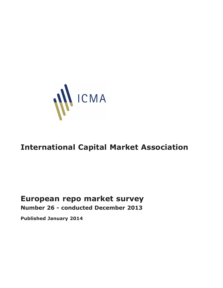

# **International Capital Market Association**

# **European repo market survey Number 26 - conducted December 2013**

**Published January 2014**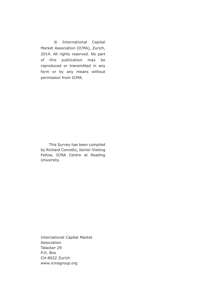© International Capital Market Association (ICMA), Zurich, 2014. All rights reserved. No part of this publication may be reproduced or transmitted in any form or by any means without permission from ICMA.

This Survey has been compiled by Richard Comotto, Senior Visiting Fellow, ICMA Centre at Reading University.

International Capital Market Association Talacker 29 P.O. Box CH-8022 Zurich www.icmagroup.org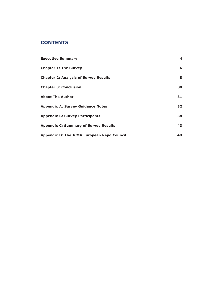# **CONTENTS**

| <b>Executive Summary</b>                     | 4  |
|----------------------------------------------|----|
| <b>Chapter 1: The Survey</b>                 | 6  |
| <b>Chapter 2: Analysis of Survey Results</b> | 8  |
| <b>Chapter 3: Conclusion</b>                 | 30 |
| <b>About The Author</b>                      | 31 |
| <b>Appendix A: Survey Guidance Notes</b>     | 32 |
| <b>Appendix B: Survey Participants</b>       | 38 |
| <b>Appendix C: Summary of Survey Results</b> | 43 |
| Appendix D: The ICMA European Repo Council   | 48 |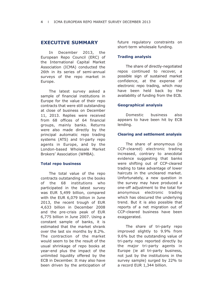# **EXECUTIVE SUMMARY**

In December 2013, the European Repo Council (ERC) of the International Capital Market Association (ICMA) conducted the 26th in its series of semi-annual surveys of the repo market in Europe.

The latest survey asked a sample of financial institutions in Europe for the value of their repo contracts that were still outstanding at close of business on December 11, 2013. Replies were received from 68 offices of 64 financial groups, mainly banks. Returns were also made directly by the principal automatic repo trading systems (ATS) and tri-party repo agents in Europe, and by the London-based Wholesale Market Brokers' Association (WMBA).

#### **Total repo business**

The total value of the repo contracts outstanding on the books of the 68 institutions who participated in the latest survey was EUR 5,499 billion, compared with the EUR 6,079 billion in June 2013, the recent trough of EUR 4,633 billion in December 2008 and the pre-crisis peak of EUR 6,775 billion in June 2007. Using a constant sample of banks, it is estimated that the market shrank over the last six months by 8.2%. The contraction of the market would seem to be the result of the usual shrinkage of repo books at year-end plus the impact of the unlimited liquidity offered by the ECB in December. It may also have been driven by the anticipation of future regulatory constraints on short-term wholesale funding.

### **Trading analysis**

The share of directly-negotiated repos continued to recover, a possible sign of sustained market confidence, at the expense of electronic repo trading, which may have been held back by the availability of funding from the ECB.

### **Geographical analysis**

Domestic business also appears to have been hit by ECB lending.

#### **Clearing and settlement analysis**

The share of anonymous (ie CCP-cleared) electronic trading increased, contrary to anecdotal evidence suggesting that banks were shifting out of CCP-cleared trading to take advantage of lower haircuts in the uncleared market. Unfortunately, a new question in the survey may have produced a one-off adjustment to the total for anonymous electronic trading which has obscured the underlying trend. But it is also possible that reports of a net migration out of CCP-cleared business have been exaggerated.

The share of tri-party repo improved slightly to 9.9% from 9.6% but the outstanding value of tri-party repo reported directly by the major tri-party agents in Europe (ie all tri-party business, not just by the institutions in the survey sample) surged by 22% to a record EUR 1,344 billion.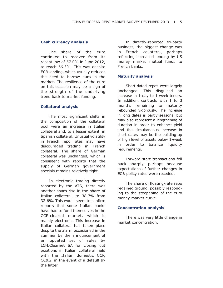#### **Cash currency analysis**

The share of the euro continued to recover from its recent low of 57.0% in June 2012, to reach 66.3%. This was despite ECB lending, which usually reduces the need to borrow euro in the market. The resilience of the euro on this occasion may be a sign of the strength of the underlying trend back to market funding.

#### **Collateral analysis**

The most significant shifts in the composition of the collateral pool were an increase in Italian collateral and, to a lesser extent, in Spanish collateral. Unusual volatility in French repo rates may have discouraged trading in French collateral. The share of German collateral was unchanged, which is consistent with reports that the supply of German government specials remains relatively tight.

In electronic trading directly reported by the ATS, there was another sharp rise in the share of Italian collateral, to 38.7% from 32.6%. This would seem to confirm reports that some Italian banks have had to fund themselves in the CCP-cleared market, which is mainly electronic. This increase in Italian collateral has taken place despite the alarm occasioned in the summer by the announcement of an updated set of rules by LCH.Clearnet SA for closing out positions in Italian collateral held with the Italian domestic CCP, CC&G, in the event of a default by the latter.

In directly-reported tri-party business, the biggest change was in French collateral, perhaps reflecting increased lending by US money market mutual funds to French banks.

### **Maturity analysis**

Short-dated repos were largely unchanged. This disguised an increase in 1-day to 1-week tenors. In addition, contracts with 1 to 3 months remaining to maturity rebounded vigorously. The increase in long dates is partly seasonal but may also represent a lengthening of duration in order to enhance yield and the simultaneous increase in short dates may be the building-up of high level of assets below 1-week in order to balance liquidity requirements.

Forward-start transactions fell back sharply, perhaps because expectations of further changes in ECB policy rates were receded.

The share of floating-rate repo regained ground, possibly responding to the steepening of the euro money market curve

#### **Concentration analysis**

There was very little change in market concentration.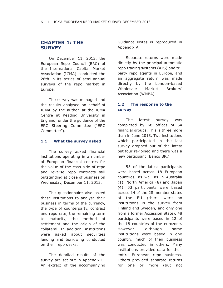# **CHAPTER 1: THE SURVEY**

On December 11, 2013, the European Repo Council (ERC) of the International Capital Market Association (ICMA) conducted the 26th in its series of semi-annual surveys of the repo market in Europe.

The survey was managed and the results analysed on behalf of ICMA by the author, at the ICMA Centre at Reading University in England, under the guidance of the ERC Steering Committee ("ERC Committee").

### **1.1 What the survey asked**

The survey asked financial institutions operating in a number of European financial centres for the value of the cash side of repo and reverse repo contracts still outstanding at close of business on Wednesday, December 11, 2013.

The questionnaire also asked these institutions to analyse their business in terms of the currency, the type of counterparty, contract and repo rate, the remaining term to maturity, the method of settlement and the origin of the collateral. In addition, institutions were asked about securities lending and borrowing conducted on their repo desks.

The detailed results of the survey are set out in Appendix C. An extract of the accompanying Guidance Notes is reproduced in Appendix A

Separate returns were made directly by the principal automatic repo trading systems (ATS) and triparty repo agents in Europe, and an aggregate return was made directly by the London-based Wholesale Market Brokers' Association (WMBA).

# **1.2 The response to the survey**

The latest survey was completed by 68 offices of 64 financial groups. This is three more than in June 2013. Two institutions which participated in the last survey dropped out of the latest but four re-joined and there was a new participant (Banco BPI).

55 of the latest participants were based across 18 European countries, as well as in Australia (1), North America (8) and Japan (4). 53 participants were based across 14 of the 28 member states of the EU (there were no institutions in the survey from Finland and Sweden, and only one from a former Accession State). 48 participants were based in 12 of the 18 countries of the eurozone. However, although some institutions were based in one country, much of their business was conducted in others. Many institutions provided data for their entire European repo business. Others provided separate returns for one or more (but not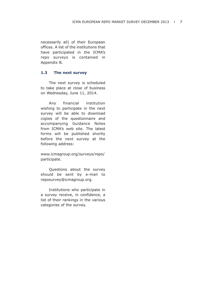necessarily all) of their European offices. A list of the institutions that have participated in the ICMA's repo surveys is contained in Appendix B.

### **1.3 The next survey**

The next survey is scheduled to take place at close of business on Wednesday, June 11, 2014.

Any financial institution wishing to participate in the next survey will be able to download copies of the questionnaire and accompanying Guidance Notes from ICMA's web site. The latest forms will be published shortly before the next survey at the following address:

www.icmagroup.org/surveys/repo/ participate.

Questions about the survey should be sent by e-mail to reposurvey@icmagroup.org.

Institutions who participate in a survey receive, in confidence, a list of their rankings in the various categories of the survey.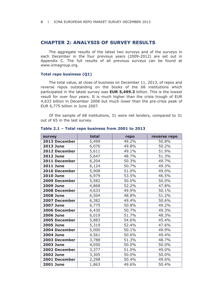# **CHAPTER 2: ANALYSIS OF SURVEY RESULTS**

The aggregate results of the latest two surveys and of the surveys in each December in the four previous years (2009-2012) are set out in Appendix C. The full results of all previous surveys can be found at www.icmagroup.org.

#### **Total repo business (Q1)**

The total value, at close of business on December 11, 2013, of repos and reverse repos outstanding on the books of the 68 institutions which participated in the latest survey was **EUR 5,499.3** billion. This is the lowest result for over four years. It is much higher than the crisis trough of EUR 4,633 billion in December 2008 but much lower than the pre-crisis peak of EUR 6,775 billion in June 2007.

Of the sample of 68 institutions, 31 were net lenders, compared to 31 out of 65 in the last survey.

| survey           | total | repo  | reverse repo |
|------------------|-------|-------|--------------|
| 2013 December    | 5,499 | 49.2% | 50.8%        |
| <b>2013 June</b> | 6,076 | 49.8% | 50.2%        |
| 2012 December    | 5,611 | 49.1% | 51.9%        |
| <b>2012 June</b> | 5,647 | 48.7% | 51.3%        |
| 2011 December    | 6,204 | 50.3% | 49.7%        |
| <b>2011 June</b> | 6,124 | 50.7% | 49.3%        |
| 2010 December    | 5,908 | 51.0% | 49.0%        |
| <b>2010 June</b> | 6,979 | 53.5% | 46.5%        |
| 2009 December    | 5,582 | 50.0% | 50.0%        |
| <b>2009 June</b> | 4,868 | 52.2% | 47.8%        |
| 2008 December    | 4,633 | 49.9% | 50.1%        |
| <b>2008 June</b> | 6,504 | 48.8% | 51.2%        |
| 2007 December    | 6,382 | 49.4% | 50.6%        |
| <b>2007 June</b> | 6,775 | 50.8% | 49.2%        |
| 2006 December    | 6,430 | 50.7% | 49.3%        |
| <b>2006 June</b> | 6,019 | 51.7% | 48.3%        |
| 2005 December    | 5,883 | 54.6% | 45.4%        |
| <b>2005 June</b> | 5,319 | 52.4% | 47.6%        |
| 2004 December    | 5,000 | 50.1% | 49.9%        |
| <b>2004 June</b> | 4,561 | 50.6% | 49.4%        |
| 2003 December    | 3,788 | 51.3% | 48.7%        |
| <b>2003 June</b> | 4,050 | 50.0% | 50.0%        |
| 2002 December    | 3,377 | 51.0% | 49.0%        |
| <b>2002 June</b> | 3,305 | 50.0% | 50.0%        |
| 2001 December    | 2,298 | 50.4% | 49.6%        |
| <b>2001 June</b> | 1,863 | 49.6% | 50.4%        |

#### **Table 2.1 – Total repo business from 2001 to 2013**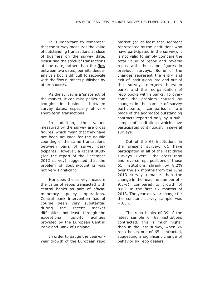It is important to remember that the survey measures the value of outstanding transactions at close of business on the survey date. Measuring the stock of transactions at one date, rather than the flow between two dates, permits deeper analysis but is difficult to reconcile with the flow numbers published by other sources.

As the survey is a 'snapshot' of the market, it can miss peaks and troughs in business between survey dates, especially of very short-term transactions.

In addition, the values measured by the survey are gross figures, which mean that they have not been adjusted for the double counting of the same transactions between pairs of survey participants. However, a recent study (see the report of the December 2012 survey) suggested that the problem of double-counting was not very significant.

Nor does the survey measure the value of repos transacted with central banks as part of official monetary policy operations. Central bank intervention has of course been very substantial during the recent market difficulties, not least, through the exceptional liquidity facilities provided by the European Central Bank and Bank of England.

In order to gauge the year-onyear growth of the European repo

market (or at least that segment represented by the institutions who have participated in the survey), it is not valid to simply compare the total value of repos and reverse repos with the same figures in previous surveys. Some of the changes represent the entry and exit of institutions into and out of the survey, mergers between banks and the reorganization of repo books within banks. To over come the problem caused by changes in the sample of survey participants, comparisons are made of the aggregate outstanding contracts reported only by a subsample of institutions which have participated continuously in several surveys.

Out of the 68 institutions in the present survey, 61 have participated in all of the last three surveys. Overall, the gross repo and reverse repo positions of those 61 institutions shrank by 8.2% over the six months from the June 2013 survey (smaller than the change in the headline number of - 9.5%), compared to growth of 8.6% in the first six months of 2013. The year-on-year change for the constant survey sample was  $+0.5%$ .

The repo books of 39 of the latest sample of 68 institutions contracted. This is much higher than in the last survey, when 26 repo books out of 65 contracted, suggesting a significant change of behavior by repo dealers.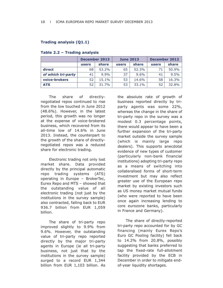### **Trading analysis (Q1.1)**

|                    | <b>December 2013</b> |       | <b>June 2013</b> |       | <b>December 2012</b> |       |
|--------------------|----------------------|-------|------------------|-------|----------------------|-------|
|                    | users                | share | users            | share | users                | share |
| direct             | 68                   | 53.2% | 65               | 52.3% | 71                   | 50.9% |
| of which tri-party | 41                   | 9.9%  | 37               | 9.6%  | 41                   | 9.5%  |
| voice-brokers      | 52                   | 15.1% | 53               | 14.6% | 58                   | 16.3% |
| <b>ATS</b>         | 52                   | 31.7% | 53               | 33.1% | 52                   | 32.8% |

#### **Table 2.2 – Trading analysis**

The share of directlynegotiated repos continued to rise from the low touched in June 2012 (48.6%). However, in the latest period, this growth was no longer at the expense of voice-brokered business, which recovered from its all-time low of 14.6% in June 2013. Instead, the counterpart to the growth of the share of directlynegotiated repos was a reduced share for electronic trading.

Electronic trading not only lost market share. Data provided directly by the principal automatic repo trading systems (ATS) operating in Europe – BrokerTec, Eurex Repo and MTS – showed that the outstanding value of all electronic trading (not just by the institutions in the survey sample) also contracted, falling back to EUR 936.7 billion from EUR 1,059 billion.

The share of tri-party repo improved slightly to 9.9% from 9.6%. However, the outstanding value of tri-party repo reported directly by the major tri-party agents in Europe (ie all tri-party business, not just that by the institutions in the survey sample) surged to a record EUR 1,344 billion from EUR 1,103 billion. As

the absolute rate of growth of business reported directly by triparty agents was some 22%, whereas the change in the share of tri-party repo in the survey was a modest 0.3 percentage points, there would appear to have been a further expansion of the tri-party market outside the survey sample (which is mainly large repo dealers). This supports anecdotal evidence of new types of customer (particularly non-bank financial institutions) adopting tri-party repo as a means of switching into collateralised forms of short-term investment but may also reflect greater use of the European repo market by existing investors such as US money market mutual funds (who were reported to have been once again increasing lending to core eurozone banks, particularly in France and Germany).

The share of directly-reported tri-party repo accounted for by GC financing (mainly Eurex Repo's Euro GC Pooling facility) fell back to 14.2% from 20.8%, possibly suggesting that banks preferred to tap the fixed-rate full-allotment facility provided by the ECB in December in order to mitigate endof-year liquidity shortages.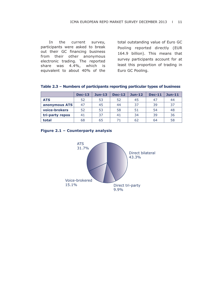In the current survey, participants were asked to break out their GC financing business from their other anonymous electronic trading. The reported share was 4.4%, which is equivalent to about 40% of the total outstanding value of Euro GC Pooling reported directly (EUR 164.9 billion). This means that survey participants account for at least this proportion of trading in Euro GC Pooling.

|                 | <b>Dec-13</b> | $Jun-13$ | <b>Dec-12</b> | $Jun-12$ | <b>Dec-11</b> | $Jun-11$ |
|-----------------|---------------|----------|---------------|----------|---------------|----------|
| <b>ATS</b>      | 52            | 53       | 52            | 45       | 47            | 44       |
| anonymous ATS   | 47            | 45       | 44            | 37       | 39            | 37       |
| voice-brokers   | 52            | 53       | 58            | 51       | 54            | 48       |
| tri-party repos | 41            | 37       | 41            | 34       | 39            | 36       |
| total           | 68            | 65       |               | 62       | 64            | 58       |

| Table 2.3 - Numbers of participants reporting particular types of business |  |  |  |  |
|----------------------------------------------------------------------------|--|--|--|--|
|----------------------------------------------------------------------------|--|--|--|--|

### **Figure 2.1 –Counterparty analysis**

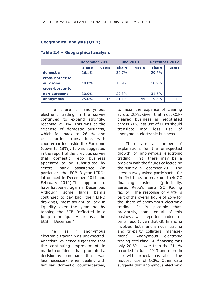### **Geographical analysis (Q1.1)**

|                 | <b>December 2013</b> |              | <b>June 2013</b> |              | <b>December 2012</b> |       |
|-----------------|----------------------|--------------|------------------|--------------|----------------------|-------|
|                 | share                | <b>users</b> | share            | <b>users</b> | share                | users |
| domestic        | 26.1%                |              | 30.7%            |              | 29.7%                |       |
| cross-border to |                      |              |                  |              |                      |       |
| eurozone        | 18.0%                |              | 18.9%            |              | 18.9%                |       |
| cross-border to |                      |              |                  |              |                      |       |
| non-eurozone    | 30.9%                |              | 29.3%            |              | 31.6%                |       |
| anonymous       | 25.0%                | 47           | 21.1%            | 45           | 19.8%                | 44    |

### **Table 2.4 – Geographical analysis**

The share of anonymous electronic trading in the survey continued to expand strongly, reaching 25.0%. This was at the expense of domestic business, which fell back to 26.1% and cross-border transactions with counterparties inside the Eurozone (down to 18%). It was suggested in the report of the previous survey that domestic repo business appeared to be substituted by central bank assistance (in particular, the ECB 3-year LTROs introduced in December 2011 and February 2012).This appears to have happened again in December. Although some large banks continued to pay back their LTRO drawings, most sought to lock in liquidity over the year-end by tapping the ECB (reflected in a jump in the liquidity surplus at the ECB in December).

The rise in anonymous electronic trading was unexpected. Anecdotal evidence suggested that the continuing improvement in market confidence had prompted a decision by some banks that it was less necessary, when dealing with familiar domestic counterparties,

to incur the expense of clearing across CCPs. Given that most CCPcleared business is negotiated across ATS, less use of CCPs should translate into less use of anonymous electronic business.

There are a number of explanations for the unexpected growth of anonymous electronic trading. First, there may be a problem with the figures collected by the survey in December 2013. The latest survey asked participants, for the first time, to break out their GC financing business (principally, Eurex Repo's Euro GC Pooling facility). The response of 4.4% is part of the overall figure of 25% for the share of anonymous electronic trading. It is possible that, previously, some or all of this business was reported under triparty repo (given that GC financing involves both anonymous trading and tri-party collateral management). Anonymous electronic trading excluding GC financing was only 20.6%, lower than the 21.1% recorded in June 2013 and more in line with expectations about the reduced use of CCPs. Other data suggests that anonymous electronic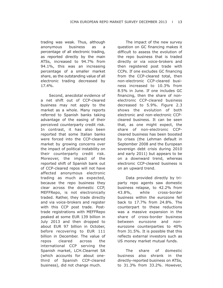trading was weak. Thus, although anonymous business as a percentage of all electronic trading, as reported directly by the main ATSs, increased to 94.7% from 94.1%, this was an increasing percentage of a smaller market share, as the outstanding value of all electronic trading decreased by 17.4%.

Second, anecdotal evidence of a net shift out of CCP-cleared business may not apply to the market as a whole. Many reports referred to Spanish banks taking advantage of the easing of their perceived counterparty credit risk. In contrast, it has also been reported that some Italian banks were forced into the CCP-cleared market by growing concerns over the impact of political instability on their counterparty credit risk. Moreover, the impact of the reported shift of Spanish bank out of CCP-cleared repos will not have affected anonymous electronic trading as much as expected, because the repo business they clear across the domestic CCP, MEFFRepo, is not electronically traded. Rather, they trade directly and via voice-brokers and register with this CCP post trade. Posttrade registrations with MEFFRepo peaked at some EUR 139 billion in July 2013 and then dropped to about EUR 97 billion in October, before recovering to EUR 111 billion in December. The value of repos cleared across the international CCP serving the Spanish market, LCH.Clearnet SA (which accounts for about onethird of Spanish CCP-cleared business), did not change much.

The impact of the new survey question on GC financing makes it difficult to assess the evolution of the repo business that is traded directly or via voice-brokers and then registered post trade with CCPs. If one excludes GC financing from the CCP-cleared total, then non-electronic CCP-cleared business increased to 10.3% from 8.5% in June. If one includes GC financing, then the share of nonelectronic CCP-cleared business decreased to 5.9%. Figure 2.3 shows the evolution of both electronic and non-electronic CCPcleared business. It can be seen that, as one might expect, the share of non-electronic CCPcleared business has been boosted by crises (the Lehman default in September 2008 and the European sovereign debt crisis during 2010 and early 2011) but appears to be on a downward trend, whereas electronic CCP-cleared business is on an upward trend.

Data provided directly by triparty repo agents saw domestic business relapse, to 42.2% from 43.8%, while cross-border business within the eurozone fell back to 17.7% from 24.8%. The counterpart to these reductions was a massive expansion in the share of cross-border business between eurozone and noneurozone counterparties to 40% from 31.5%. It is possible that this reflects external investors such as US money market mutual funds.

The share of domestic business also shrank in the directly-reported business on ATSs, to 31.3% from 33.2%. However,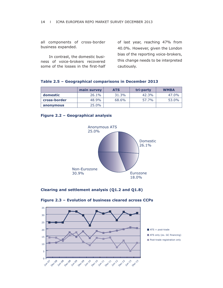all components of cross-border business expanded.

In contrast, the domestic business of voice-brokers recovered some of the losses in the first-half of last year, reaching 47% from 40.0%. However, given the London bias of the reporting voice-brokers, this change needs to be interpreted cautiously.

|  |  | Table 2.5 - Geographical comparisons in December 2013 |  |  |
|--|--|-------------------------------------------------------|--|--|
|--|--|-------------------------------------------------------|--|--|

|              | main survey | <b>ATS</b> | tri-party | <b>WMBA</b> |
|--------------|-------------|------------|-----------|-------------|
| domestic     | 26.1%       | 31.3%      | 42.3%     | 47.0%       |
| cross-border | 48.9%       | 68.6%      | 57.7%     | 53.0%       |
| anonymous    | $25.0\%$    |            |           |             |

### **Figure 2.2 – Geographical analysis**



### **Clearing and settlement analysis (Q1.2 and Q1.8)**



#### **Figure 2.3 – Evolution of business cleared across CCPs**

ATS only (ex. GC financing) **Post-trade registration only**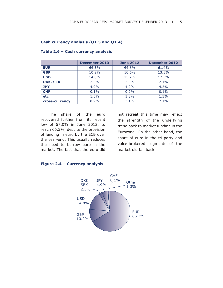#### **Cash currency analysis (Q1.3 and Q1.4)**

|                 | December 2013 | <b>June 2012</b> | <b>December 2012</b> |
|-----------------|---------------|------------------|----------------------|
| <b>EUR</b>      | 66.3%         | 64.8%            | 61.4%                |
| <b>GBP</b>      | 10.2%         | 10.6%            | 13.3%                |
| <b>USD</b>      | 14.8%         | 15.2%            | 17.3%                |
| <b>DKK, SEK</b> | 2.5%          | 2.5%             | 2.1%                 |
| <b>JPY</b>      | 4.9%          | 4.9%             | 4.5%                 |
| <b>CHF</b>      | $0.1\%$       | $0.2\%$          | $0.1\%$              |
| <b>etc</b>      | 1.3%          | 1.8%             | 1.3%                 |
| cross-currency  | 0.9%          | $3.1\%$          | 2.1%                 |

#### **Table 2.6 – Cash currency analysis**

The share of the euro recovered further from its recent low of 57.0% in June 2012, to reach 66.3%, despite the provision of lending in euro by the ECB over the year-end. This usually reduces the need to borrow euro in the market. The fact that the euro did

not retreat this time may reflect the strength of the underlying trend back to market funding in the Eurozone. On the other hand, the share of euro in the tri-party and voice-brokered segments of the market did fall back.



#### **Figure 2.4 – Currency analysis**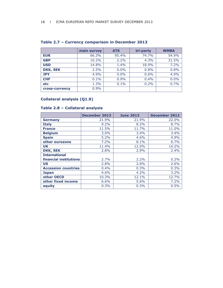|                | main survey | <b>ATS</b> | tri-party | <b>WMBA</b> |
|----------------|-------------|------------|-----------|-------------|
| <b>EUR</b>     | 66.3%       | 95.4%      | 74.7%     | 54.9%       |
| <b>GBP</b>     | 10.2%       | 2.2%       | 4.3%      | 31.5%       |
| <b>USD</b>     | 14.8%       | 1.4%       | 18.9%     | 7.2%        |
| DKK, SEK       | 2.5%        | $0.0\%$    | 0.8%      | 0.8%        |
| <b>JPY</b>     | 4.9%        | 0.0%       | 0.6%      | 4.9%        |
| <b>CHF</b>     | 0.1%        | 0.9%       | 0.4%      | 0.0%        |
| etc            | 1.3%        | 0.1%       | 0.2%      | 0.7%        |
| cross-currency | 0.9%        |            |           |             |

# **Table 2.7 – Currency comparison in December 2013**

# **Collateral analysis (Q1.9)**

# **Table 2.8 – Collateral analysis**

|                            | <b>December 2013</b> | <b>June 2013</b> | <b>December 2012</b> |
|----------------------------|----------------------|------------------|----------------------|
| <b>Germany</b>             | 21.9%                | 21.9%            | 22.0%                |
| <b>Italy</b>               | 9.2%                 | 8.2%             | 8.7%                 |
| <b>France</b>              | 11.5%                | 11.7%            | 11.0%                |
| <b>Belgium</b>             | 3.0%                 | 3.4%             | 3.4%                 |
| <b>Spain</b>               | 5.2%                 | 4.6%             | 4.9%                 |
| other eurozone             | 7.2%                 | 8.1%             | 6.7%                 |
| UK                         | 11.4%                | 12.0%            | 14.2%                |
| <b>DKK, SEK</b>            | 2.8%                 | 2.9%             | 2.4%                 |
| <b>International</b>       |                      |                  |                      |
| financial institutions     | 2.7%                 | 2.2%             | 0.2%                 |
| <b>US</b>                  | 2.8%                 | 2.6%             | 2.6%                 |
| <b>Accession countries</b> | 0.4%                 | 0.3%             | 0.3%                 |
| <b>Japan</b>               | 4.6%                 | 4.2%             | 3.2%                 |
| other OECD                 | 10.3%                | 12.1%            | 12.7%                |
| other fixed income         | 6.6%                 | 5.6%             | 7.2%                 |
| equity                     | 0.3%                 | 0.3%             | 0.5%                 |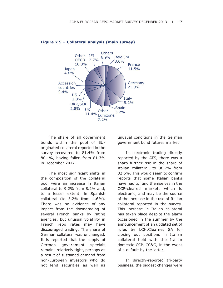

#### **Figure 2.5 – Collateral analysis (main survey)**

The share of all government bonds within the pool of EUoriginated collateral reported in the survey recovered to 81.4% from 80.1%, having fallen from 81.3% in December 2012.

The most significant shifts in the composition of the collateral pool were an increase in Italian collateral to 9.2% from 8.2% and, to a lesser extent, in Spanish collateral (to 5.2% from 4.6%). There was no evidence of any impact from the downgrading of several French banks by rating agencies, but unusual volatility in French repo rates may have discouraged trading. The share of German collateral was unchanged. It is reported that the supply of German government specials remains relatively tight, perhaps as a result of sustained demand from non-European investors who do not lend securities as well as

unusual conditions in the German government bond futures market

In electronic trading directly reported by the ATS, there was a sharp further rise in the share of Italian collateral, to 38.7% from 32.6%. This would seem to confirm reports that some Italian banks have had to fund themselves in the CCP-cleared market, which is electronic, and may be the source of the increase in the use of Italian collateral reported in the survey. This increase in Italian collateral has taken place despite the alarm occasioned in the summer by the announcement of an updated set of rules by LCH.Clearnet SA for closing out positions in Italian collateral held with the Italian domestic CCP, CC&G, in the event of a default by the latter.

In directly-reported tri-party business, the biggest changes were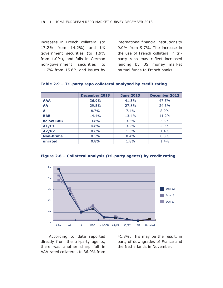increases in French collateral (to 17.2% from 14.2%) and UK government securities (to 1.9% from 1.0%), and falls in German non-government securities to 11.7% from 15.6% and issues by international financial institutions to 9.0% from 9.7%. The increase in the use of French collateral in triparty repo may reflect increased lending by US money market mutual funds to French banks.

|                   | <b>December 2013</b> | <b>June 2013</b> | December 2012 |
|-------------------|----------------------|------------------|---------------|
| <b>AAA</b>        | 36.9%                | 41.3%            | 47.5%         |
| <b>AA</b>         | 29.5%                | 27.8%            | 24.3%         |
| A                 | 8.7%                 | 7.4%             | $8.0\%$       |
| <b>BBB</b>        | 14.4%                | 13.4%            | 11.2%         |
| <b>below BBB-</b> | $3.8\%$              | 3.5%             | 3.3%          |
| A1/P1             | 4.8%                 | $3.2\%$          | 2.9%          |
| A2/P2             | 0.6%                 | 1.3%             | 1.4%          |
| <b>Non-Prime</b>  | 0.5%                 | 0.4%             | $0.0\%$       |
| unrated           | 0.8%                 | 1.8%             | 1.4%          |

### **Table 2.9 – Tri-party repo collateral analysed by credit rating**

**Figure 2.6 – Collateral analysis (tri-party agents) by credit rating**



According to data reported directly from the tri-party agents, there was another sharp fall in AAA-rated collateral, to 36.9% from

41.3%. This may be the result, in part, of downgrades of France and the Netherlands in November.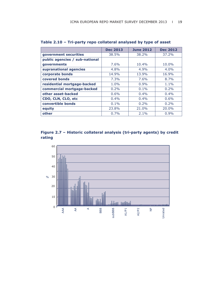|                                | <b>Dec 2013</b> | <b>June 2012</b> | <b>Dec 2012</b> |
|--------------------------------|-----------------|------------------|-----------------|
| government securities          | 38.5%           | 38.2%            | $37.2\%$        |
| public agencies / sub-national |                 |                  |                 |
| governments                    | 7.6%            | 10.4%            | 10.0%           |
| supranational agencies         | $4.8\%$         | 4.9%             | $4.0\%$         |
| corporate bonds                | 14.9%           | 13.9%            | 16.9%           |
| covered bonds                  | 7.3%            | 7.6%             | 8.7%            |
| residential mortgage-backed    | $1.0\%$         | 0.9%             | $1.1\%$         |
| commercial mortgage-backed     | $0.2\%$         | $0.1\%$          | 0.2%            |
| other asset-backed             | $0.6\%$         | $0.4\%$          | $0.4\%$         |
| CDO, CLN, CLO, etc             | $0.4\%$         | $0.4\%$          | 0.6%            |
| convertible bonds              | 0.1%            | 0.2%             | $0.2\%$         |
| equity                         | 23.8%           | 21.0%            | 20.0%           |
| other                          | 0.7%            | $2.1\%$          | 0.9%            |

**Table 2.10 – Tri-party repo collateral analysed by type of asset**



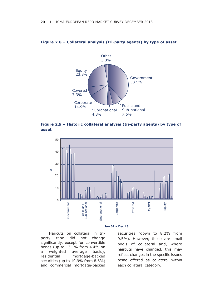

#### **Figure 2.8 – Collateral analysis (tri-party agents) by type of asset**





#### **Jun 09 – Dec 13**

Haircuts on collateral in triparty repo did not change significantly, except for convertible bonds (up to 13.1% from 4.4% on a weighted average basis), residential mortgage-backed securities (up to 10.9% from 8.6%) and commercial mortgage-backed securities (down to 8.2% from 9.5%). However, these are small pools of collateral and, where haircuts have changed, this may reflect changes in the specific issues being offered as collateral within each collateral category.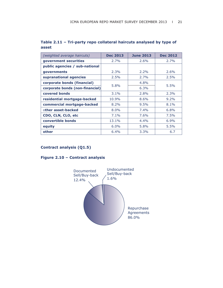| (weighted average haircuts)     | <b>Dec 2013</b> | <b>June 2013</b> | <b>Dec 2012</b> |
|---------------------------------|-----------------|------------------|-----------------|
| government securities           | 2.7%            | $2.6\%$          | 2.7%            |
| public agencies / sub-national  |                 |                  |                 |
| governments                     | 2.3%            | $2.2\%$          | $2.6\%$         |
| supranational agencies          | 2.5%            | 2.7%             | 2.5%            |
| corporate bonds (financial)     | 5.8%            | 4.8%             |                 |
| corporate bonds (non-financial) |                 | 6.3%             | 5.5%            |
| covered bonds                   | 3.1%            | 2.8%             | 2.3%            |
| residential mortgage-backed     | 10.9%           | 8.6%             | $9.2\%$         |
| commercial mortgage-backed      | $8.2\%$         | 9.5%             | 8.1%            |
| other asset-backed              | 8.0%            | $7.4\%$          | 6.8%            |
| CDO, CLN, CLO, etc              | $7.1\%$         | 7.6%             | $7.5\%$         |
| convertible bonds               | 13.1%           | 4.4%             | 6.9%            |
| equity                          | $6.0\%$         | 5.8%             | 5.5%            |
| other                           | 6.4%            | 3.3%             | 6.7             |

# **Table 2.11 – Tri-party repo collateral haircuts analysed by type of asset**

# **Contract analysis (Q1.5)**

# **Figure 2.10 – Contract analysis**

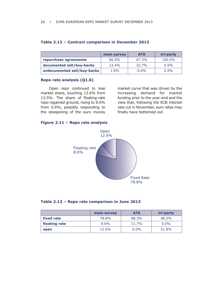|                             | main survey | <b>ATS</b> | tri-party |
|-----------------------------|-------------|------------|-----------|
| repurchase agreements       | 86.0%       | 67.3%      | 100.0%    |
| documented sell/buy-backs   | 12.4%       | 32.7%      | $0.0\%$   |
| undocumented sell/buy-backs | $1.6\%$     | $0.0\%$    | $0.0\%$   |

### **Table 2.12 – Contract comparison in December 2013**

#### **Repo rate analysis (Q1.6)**

Open repo continued to lose market share, touching 12.6% from 13.5%. The share of floating-rate repo regained ground, rising to 8.6% from 6.6%, possibly responding to the steepening of the euro money market curve that was driven by the increasing demand for market funding prior to the year-end and the view that, following the ECB interest rate cut in November, euro rates may finally have bottomed out.

## **Figure 2.11 – Repo rate analysis**



### **Table 2.13 – Repo rate comparison in June 2013**

|               | main survey | <b>ATS</b> | tri-party |
|---------------|-------------|------------|-----------|
| fixed rate    | 78.8%       | 88.3%      | 48.2%     |
| floating rate | 8.6%        | 11.7%      | $0.0\%$   |
| open          | 12.6%       | $0.0\%$    | 51.8%     |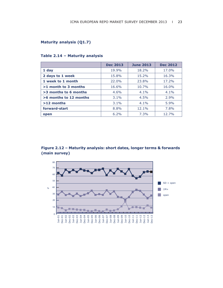# **Maturity analysis (Q1.7)**

|                        | <b>Dec 2013</b> | <b>June 2013</b> | <b>Dec 2012</b> |
|------------------------|-----------------|------------------|-----------------|
| 1 day                  | 19.9%           | 18.2%            | 17.0%           |
| 2 days to 1 week       | 15.8%           | 15.2%            | 16.3%           |
| 1 week to 1 month      | 22.0%           | 23.8%            | 17.2%           |
| $>1$ month to 3 months | 16.6%           | 10.7%            | 16.0%           |
| >3 months to 6 months  | 4.6%            | $4.1\%$          | $4.1\%$         |
| >6 months to 12 months | $3.1\%$         | 4.5%             | 2.9%            |
| $>12$ months           | 3.1%            | 4.1%             | 5.9%            |
| forward-start          | 8.8%            | 12.1%            | 7.8%            |
| open                   | $6.2\%$         | 7.3%             | 12.7%           |

### **Table 2.14 – Maturity analysis**

**Figure 2.12 – Maturity analysis: short dates, longer terms & forwards (main survey)**

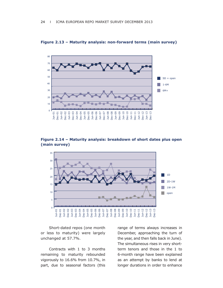

**Figure 2.13 – Maturity analysis: non-forward terms (main survey)**

**Figure 2.14 – Maturity analysis: breakdown of short dates plus open (main survey)**



Short-dated repos (one month or less to maturity) were largely unchanged at 57.7%.

Contracts with 1 to 3 months remaining to maturity rebounded vigorously to 16.6% from 10.7%, in part, due to seasonal factors (this range of terms always increases in December, approaching the turn of the year, and then falls back in June). The simultaneous rises in very shortterm tenors and those in the 1 to 6-month range have been explained as an attempt by banks to lend at longer durations in order to enhance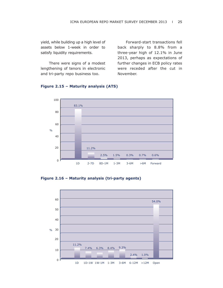yield, while building up a high level of assets below 1-week in order to satisfy liquidity requirements.

There were signs of a modest lengthening of tenors in electronic and tri-party repo business too.

Forward-start transactions fell back sharply to 8.8% from a three-year high of 12.1% in June 2013, perhaps as expectations of further changes in ECB policy rates were receded after the cut in November.



### **Figure 2.15 – Maturity analysis (ATS)**

**Figure 2.16 – Maturity analysis (tri-party agents)**

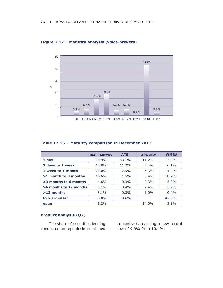

**Figure 2.17 – Maturity analysis (voice-brokers)**

| Table 12.15 - Maturity comparison in December 2013 |  |  |  |  |  |
|----------------------------------------------------|--|--|--|--|--|
|----------------------------------------------------|--|--|--|--|--|

|                        | main survey | <b>ATS</b> | tri-party | <b>WMBA</b> |
|------------------------|-------------|------------|-----------|-------------|
| 1 day                  | 19.9%       | 83.1%      | 11.2%     | 3.9%        |
| 2 days to 1 week       | 15.8%       | 11.2%      | $7.4\%$   | 6.1%        |
| 1 week to 1 month      | 22.0%       | 2.5%       | $6.3\%$   | 14.2%       |
| $>1$ month to 3 months | 16.6%       | 1.5%       | 8.4%      | 18.2%       |
| >3 months to 6 months  | 4.6%        | 0.3%       | 9.3%      | 5.0%        |
| >6 months to 12 months | 3.1%        | $0.4\%$    | 2.4%      | 5.9%        |
| $>12$ months           | $3.1\%$     | 0.3%       | $1.0\%$   | $0.4\%$     |
| forward-start          | 8.8%        | 0.6%       |           | 42.6%       |
| open                   | 6.2%        |            | 54.0%     | 3.8%        |

# **Product analysis (Q2)**

The share of securities lending conducted on repo desks continued

to contract, reaching a new record low of 9.9% from 10.4%.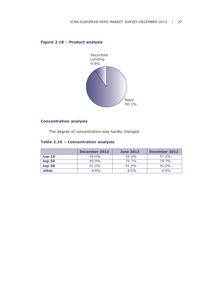# **Figure 2.18 – Product analysis**



# **Concentration analysis**

The degree of concentration was hardly changed.

# **Table 2.16 – Concentration analysis**

|        | December 2013 | <b>June 2013</b> | December 2012 |
|--------|---------------|------------------|---------------|
| top 10 | 56.0%         | 55.4%            | 57.3%         |
| top 20 | 80.9%         | 79.7%            | 79.7%         |
| top 30 | $91.2\%$      | 91.5%            | 91.0%         |
| other  | 8.8%          | 8.5%             | $9.0\%$       |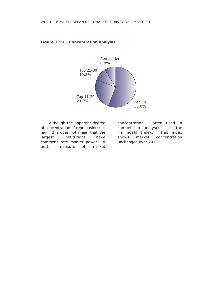

#### **Figure 2.19 – Concentration analysis**

Although the apparent degree of concentration of repo business is high, this does not mean that the largest institutions have commensurate market power. A better measure of market

concentration - often used in competition analyses - is the Herfindahl Index. This index shows market concentration unchanged over 2013.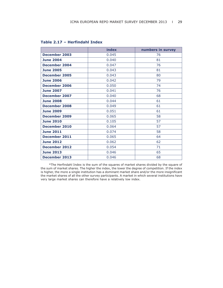|                      | index | numbers in survey |
|----------------------|-------|-------------------|
| December 2003        | 0.045 | 76                |
| <b>June 2004</b>     | 0.040 | 81                |
| <b>December 2004</b> | 0.047 | 76                |
| <b>June 2005</b>     | 0.043 | 81                |
| <b>December 2005</b> | 0.043 | 80                |
| <b>June 2006</b>     | 0.042 | 79                |
| <b>December 2006</b> | 0.050 | 74                |
| <b>June 2007</b>     | 0.041 | 76                |
| December 2007        | 0.040 | 68                |
| <b>June 2008</b>     | 0.044 | 61                |
| <b>December 2008</b> | 0.049 | 61                |
| <b>June 2009</b>     | 0.051 | 61                |
| <b>December 2009</b> | 0.065 | 58                |
| <b>June 2010</b>     | 0.105 | 57                |
| December 2010        | 0.064 | 57                |
| <b>June 2011</b>     | 0.074 | 58                |
| December 2011        | 0.065 | 64                |
| <b>June 2012</b>     | 0.062 | 62                |
| <b>December 2012</b> | 0.054 | 71                |
| <b>June 2013</b>     | 0.046 | 65                |
| <b>December 2013</b> | 0.046 | 68                |

# **Table 2.17 – Herfindahl Index**

\*The Herfindahl Index is the sum of the squares of market shares divided by the square of the sum of market shares. The higher the index, the lower the degree of competition. If the index is higher, the more a single institution has a dominant market share and/or the more insignificant the market shares of all the other survey participants. A market in which several institutions have very large market shares can therefore have a relatively low index.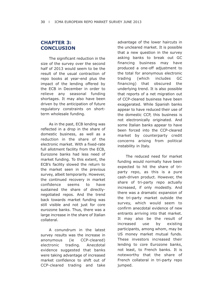# **CHAPTER 3: CONCLUSION**

The significant reduction in the size of the survey over the second half of 2013 would seem to be the result of the usual contraction of repo books at year-end plus the impact of the lending offered by the ECB in December in order to relieve any seasonal funding shortages. It may also have been driven by the anticipation of future regulatory constraints on shortterm wholesale funding.

As in the past, ECB lending was reflected in a drop in the share of domestic business, as well as a reduction in the share of the electronic market. With a fixed-rate full allotment facility from the ECB, Eurozone banks had less need of market funding. To this extent, the ECB's facility slowed the return to the market seen in the previous survey, albeit temporarily. However, the continued recovery in market confidence seems to have sustained the share of directlynegotiated repos. And the trend back towards market funding was still visible and not just for core eurozone banks. Thus, there was a large increase in the share of Italian collateral.

A conundrum in the latest survey results was the increase in anonymous (ie CCP-cleared) electronic trading. Anecdotal evidence suggested that banks were taking advantage of increased market confidence to shift out of CCP-cleared trading and take advantage of the lower haircuts in the uncleared market. It is possible that a new question in the survey asking banks to break out GC financing business may have produced a one-off adjustment to the total for anonymous electronic trading (which includes GC financing) that obscured the underlying trend. It is also possible that reports of a net migration out of CCP-cleared business have been exaggerated. While Spanish banks appear to have reduced their use of the domestic CCP, this business is not electronically originated. And some Italian banks appear to have been forced into the CCP-cleared market by counterparty credit concerns arising from political instability in Italy.

The reduced need for market funding would normally have been expected to hit the share of triparty repo, as this is a pure cash-driven product. However, the share of tri-party repo actually increased, if only modestly. And there was a dramatic expansion of the tri-party market outside the survey, which would seem to confirm anecdotal evidence of new entrants arriving into that market. It may also be the result of increased use by existing participants, among whom, may be US money market mutual funds. These investors increased their lending to core Eurozone banks, not least, to French banks. It is noteworthy that the share of French collateral in tri-party repo jumped.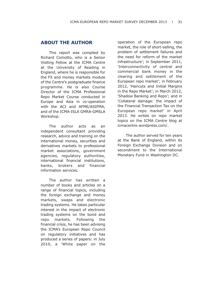# **ABOUT THE AUTHOR**

This report was compiled by Richard Comotto, who is a Senior Visiting Fellow at the ICMA Centre at the University of Reading in England, where he is responsible for the FX and money markets module of the Centre's postgraduate finance programme. He is also Course Director of the ICMA Professional Repo Market Course conducted in Europe and Asia in co-operation with the ACI and AFME/ASIFMA, and of the ICMA-ISLA GMRA-GMSLA Workshop.

The author acts as an independent consultant providing research, advice and training on the international money, securities and derivatives markets to professional market associations, government agencies, regulatory authorities, international financial institutions, banks, brokers and financial information services.

The author has written a number of books and articles on a range of financial topics, including the foreign exchange and money markets, swaps and electronic trading systems. He takes particular interest in the impact of electronic trading systems on the bond and repo markets. Following the financial crisis, he has been advising the ICMA's European Repo Council on regulatory initiatives and has produced a series of papers: in July 2010, a 'White paper on the operation of the European repo market, the role of short-selling, the problem of settlement failures and the need for reform of the market infrastructure'; in September 2011, 'Interconnectivity of central and commercial bank money in the clearing and settlement of the European repo market'; in February 2012, 'Haircuts and Initial Margins in the Repo Market'; in March 2012, 'Shadow Banking and Repo'; and in 'Collateral damage: the impact of the Financial Transaction Tax on the European repo market' in April 2013. He writes on repo market topics on the ICMA Centre blog at icmacentre.wordpress.com/.

The author served for ten years at the Bank of England, within its Foreign Exchange Division and on secondment to the International Monetary Fund in Washington DC.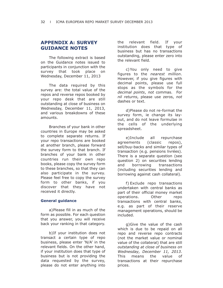# **APPENDIX A: SURVEY GUIDANCE NOTES**

The following extract is based on the Guidance notes issued to participants in conjunction with the survey that took place on Wednesday, December 11, 2013

The data required by this survey are: the total value of the repos and reverse repos booked by your repo desk that are still outstanding at close of business on Wednesday, December 11, 2013, and various breakdowns of these amounts.

Branches of your bank in other countries in Europe may be asked to complete separate returns. If your repo transactions are booked at another branch, please forward the survey form to that branch. If branches of your bank in other countries run their own repo books, please copy the survey form to these branches, so that they can also participate in the survey. Please feel free to copy the survey form to other banks, if you discover that they have not received it directly.

### **General guidance**

a)Please fill in as much of the form as possible. For each question that you answer, you will receive back your ranking in that category.

b)If your institution does not transact a certain type of repo business, please enter 'N/A' in the relevant fields. On the other hand, if your institution does that type of business but is not providing the data requested by the survey, please do not enter anything into

the relevant field. If your institution does that type of business but has no transactions outstanding, please enter zero into the relevant field.

c) You only need to give figures to the *nearest million*. However, if you give figures with decimal points, please use full stops as the symbols for the *decimal points*, *not* commas. For *nil returns*, please use zeros, *not* dashes or text.

d)Please do not re-format the survey form, ie change its layout, and do not leave formulae in the cells of the underlying spreadsheet.

e)Include all repurchase agreements (classic repos), sell/buy-backs and similar types of transaction (e.g. pensions livrées). There is a separate question (see question 2) on securities lending and borrowing transactions (including securities lending and borrowing against cash collateral).

f) Exclude repo transactions undertaken with central banks as part of their official money market operations. Other repo transactions with central banks, e.g. as part of their reserve management operations, should be included.

g)Give the value of the cash which is due to be repaid on all repo and reverse repo contracts (not the market value or nominal value of the collateral) that are still *outstanding at close of business on Wednesday, December 11, 2013*. This means the value of transactions at their repurchase prices.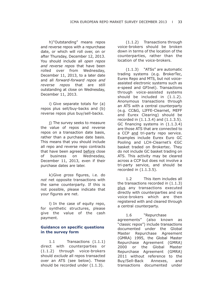h)"Outstanding" means repos and reverse repos with a repurchase date, or which will roll over, on or after Thursday, December 12, 2013. You should include all *open repos and reverse repos* that have been rolled over from Wednesday, December 11, 2013, to a later date and all *forward-forward repos and reverse repos* that are still outstanding at close on Wednesday, December 11, 2013.

i) Give separate totals for (a) repos plus sell/buy-backs and (b) reverse repos plus buy/sell-backs.

j) The survey seeks to measure the value of repos and reverse repos on a transaction date basis, rather than a purchase date basis. This means that you should include all repo and reverse repo contracts that have been agreed before close of business on Wednesday, December 11, 2013, even if their purchase dates are later.

k)Give *gross* figures, i.e. do *not* net opposite transactions with the same counterparty. If this is not possible, please indicate that your figures are net.

l) In the case of equity repo, for synthetic structures, please give the value of the cash payment.

# **Guidance on specific questions in the survey form**

1.1 Transactions (1.1.1) direct with counterparties or (1.1.2) through voice-brokers should *exclude* all repos transacted over an ATS (see below). These should be recorded under (1.1.3).

(1.1.2) Transactions through voice-brokers should be broken down in terms of the location of the counterparties, rather than the location of the voice-brokers.

(1.1.3) "ATSs" are automatic trading systems (e.g. BrokerTec, Eurex Repo and MTS, but not voiceassisted electronic systems such as e-speed and GFInet). Transactions through voice-assisted systems should be included in (1.1.2). Anonymous transactions through an ATS with a central counterparty (e.g. CC&G, LIFFE-Clearnet, MEFF and Eurex Clearing) should be recorded in (1.1.3.4) and (1.1.3.5). GC financing systems in (1.1.3.4) are those ATS that are connected to a CCP and tri-party repo service. Examples include Eurex Euro GC Pooling and LCH-Clearnet's €GC basket traded on Brokertec. They do not include GC basket trading on ATS. This activity may be cleared across a CCP but does not involve a tri-party service, and should be recorded in (1.1.3.5).

1.2 This item includes all the transactions recorded in (1.1.3) plus any transactions executed directly with counterparties and via voice-brokers which are then registered with and cleared through a central counterparty.

1.6 "Repurchase agreements" (also known as "classic repos") include transactions documented under the Global Master Repurchase Agreement (GMRA) 1995, the Global Master Repurchase Agreement (GMRA) 2000 or the Global Master Repurchase Agreement (GMRA) 2011 without reference to the Buy/Sell-Back Annexes, and transactions documented under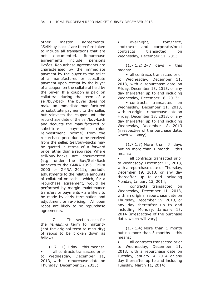other master agreements. "Sell/buy-backs" are therefore taken to include all transactions that are not documented. Repurchase agreements include pensions livrées. Repurchase agreements are characterised by the immediate payment by the buyer to the seller of a manufactured or substitute payment upon receipt by the buyer of a coupon on the collateral held by the buyer. If a coupon is paid on collateral during the term of a sell/buy-back, the buyer does not make an immediate manufactured or substitute payment to the seller, but reinvests the coupon until the repurchase date of the sell/buy-back and deducts the manufactured or substitute payment (plus reinvestment income) from the repurchase price due to be received from the seller. Sell/buy-backs may be quoted in terms of a forward price rather than a repo rate. Where sell/buy-backs are documented (e.g. under the Buy/Sell-Back Annexes to the GMRA 1995, GMRA 2000 or GMRA 2011), periodic adjustments to the relative amounts of collateral or cash - which, for a repurchase agreement, would be performed by margin maintenance transfers or payments - are likely to be made by early termination and adjustment or re-pricing. All open repos are likely to be repurchase agreements.

1.7 This section asks for the *remaining* term to maturity (not the original term to maturity) of repos to be broken down as follows:

 $(1.7.1.1)$  1 day – this means: all contracts transacted prior to Wednesday, December 11, 2013, with a repurchase date on Thursday, December 12, 2013;

overnight, tom/next, spot/next and corporate/next contracts transacted on Wednesday, December 11, 2013.

(1.7.1.2) 2–7 days – this means:

• all contracts transacted prior to Wednesday, December 11, 2013, with a repurchase date on Friday, December 13, 2013, or any day thereafter up to and including Wednesday, December 18, 2013;

• contracts transacted on Wednesday, December 11, 2013, with an original repurchase date on Friday, December 13, 2013, or any day thereafter up to and including Wednesday, December 18, 2013 (irrespective of the purchase date, which will vary).

(1.7.1.3) More than 7 days but no more than 1 month – this means:

all contracts transacted prior to Wednesday, December 11, 2013, with a repurchase date on Thursday, December 19, 2013, or any day thereafter up to and including Monday, January 13, 2014;

• contracts transacted on Wednesday, December 11, 2013, with an original repurchase date on Thursday, December 19, 2013, or any day thereafter up to and including Monday, January 13, 2014 (irrespective of the purchase date, which will vary).

(1.7.1.4) More than 1 month but no more than 3 months – this means:

all contracts transacted prior to Wednesday, December 11, 2013, with a repurchase date on Tuesday, January 14, 2014, or any day thereafter up to and including Tuesday, March 11, 2014;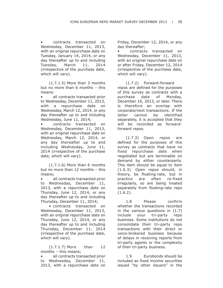• contracts transacted on Wednesday, December 11, 2013, with an original repurchase date on Tuesday, January 14, 2014, or any day thereafter up to and including Tuesday, March 11, 2014 (irrespective of the purchase date, which will vary).

(1.7.1.5) More than 3 months but no more than 6 months – this means:

• all contracts transacted prior to Wednesday, December 11, 2013, with a repurchase date on Wednesday, March 12, 2014, or any day thereafter up to and including Wednesday, June 11, 2014;

• contracts transacted on Wednesday, December 11, 2013, with an original repurchase date on Wednesday, March 12, 2014, or any day thereafter up to and including Wednesday, June 11, 2014 (irrespective of the purchase date, which will vary).

(1.7.1.6) More than 6 months but no more than 12 months – this means;

• all contracts transacted prior to Wednesday, December 11, 2013, with a repurchase date on Thursday, June 12, 2014, or any day thereafter up to and including Thursday, December 11, 2014;

• contracts transacted on Wednesday, December 11, 2013, with an original repurchase date on Thursday, June 12, 2014, or any day thereafter up to and including Thursday, December 11, 2014 (irrespective of the purchase date, which will vary).

(1.7.1.7) More than 12 months – this means;

• all contracts transacted prior to Wednesday, December 11, 2013, with a repurchase date on Friday, December 12, 2014, or any day thereafter;

• contracts transacted on Wednesday, December 11, 2013, with an original repurchase date on or after Friday, December 12, 2014 (irrespective of the purchase date, which will vary).

(1.7.2) Forward-forward repos are defined for the purposes of this survey as contracts with a purchase date of Monday, December 16, 2013, or later. There is therefore an overlap with corporate/next transactions. If the latter cannot be identified separately, it is accepted that they will be recorded as forwardforward repos.

(1.7.3) Open repos are defined for the purposes of this survey as contracts that have no fixed repurchase date when negotiated but are terminable on demand by either counterparty. This item should be equal to item (1.6.3). Open repos should, in theory, be floating-rate, but in practice are often re-fixed irregularly, so are being treated separately from floating-rate repo  $(1.6.2)$ .

1.8 Please confirm whether the transactions recorded in the various questions in (1.7) include your tri-party repo business. Some institutions do not consolidate their tri-party repo transactions with their direct or voice-brokered business because of delays in receiving reports from tri-party agents or the complexity of their tri-party business.

1.9 Eurobonds should be included as fixed income securities issued "by other issuers" in the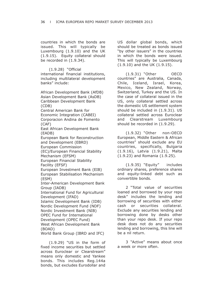countries in which the bonds are issued. This will typically be Luxembourg (1.9.10) and the UK (1.9.15). Equity collateral should be recorded in (1.9.34).

(1.9.28) "Official

international financial institutions, including multilateral development banks" include:

African Development Bank (AfDB) Asian Development Bank (AsDB) Caribbean Development Bank (CDB) Central American Bank for

Economic Integration (CABEI) Corporacion Andina de Fomento (CAF)

East African Development Bank (EADB)

European Bank for Reconstruction and Development (EBRD)

European Commission

(EC)/European Financial Stability Mechanism (EFSM)

European Financial Stability Facility (EFSF)

European Investment Bank (EIB) European Stabilisation Mechanism (ESM)

Inter-American Development Bank Group (IADB)

International Fund for Agricultural Development (IFAD)

Islamic Development Bank (IDB) Nordic Development Fund (NDF) Nordic Investment Bank (NIB) OPEC Fund for International Development (OPEC Fund) West African Development Bank

(BOAD)

World Bank Group (IBRD and IFC)

(1.9.29) "US in the form of fixed income securities but settled across Euroclear or Clearstream" means only domestic and Yankee bonds. This includes Reg.144a bonds, but excludes Eurodollar and

US dollar global bonds, which should be treated as bonds issued "by other issuers" in the countries in which the bonds were issued. This will typically be Luxembourg (1.9.10) and the UK (1.9.15).

(1.9.31) "Other OECD countries" are Australia, Canada, Chile, Iceland, Israel, Korea, Mexico, New Zealand, Norway, Switzerland, Turkey and the US. In the case of collateral issued in the US, only collateral settled across the domestic US settlement system should be included in (1.9.31). US collateral settled across Euroclear and Clearstream Luxembourg should be recorded in (1.9.29).

(1.9.32) "Other non-OECD European, Middle Eastern & African countries" should exclude any EU countries, specifically, Bulgaria (1.9.16), Latvia (1.9.21), Malta (1.9.23) and Romania (1.9.25).

(1.9.35) "Equity" includes ordinary shares, preference shares and equity-linked debt such as convertible bonds.

2 "Total value of securities loaned and borrowed by your repo desk" includes the lending and borrowing of securities with either cash or securities collateral. Exclude any securities lending and borrowing done by desks other than your repo desk. If your repo desk does not do any securities lending and borrowing, this line will be a nil return.

3 "Active" means about once a week or more often.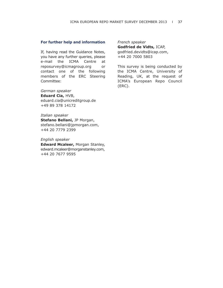### **For further help and information**

If, having read the Guidance Notes, you have any further queries, please e-mail the ICMA Centre at reposurvey@icmagroup.org or contact one of the following members of the ERC Steering Committee:

*German speaker* **Eduard Cia,** HVB, eduard.cia@unicreditgroup.de +49 89 378 14172

*Italian speaker* **Stefano Bellani,** JP Morgan, stefano.bellani@jpmorgan.com, +44 20 7779 2399

### *English speaker*

**Edward Mcaleer,** Morgan Stanley, edward.mcaleer@morganstanley.com, +44 20 7677 9595

*French speaker*

**Godfried de Vidts,** ICAP, godfried.devidts@icap.com, +44 20 7000 5803

This survey is being conducted by the ICMA Centre, University of Reading, UK, at the request of ICMA's European Repo Council (ERC).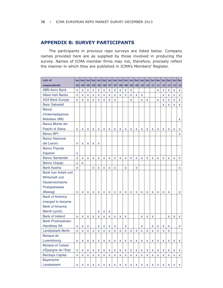# **APPENDIX B: SURVEY PARTICIPANTS**

The participants in previous repo surveys are listed below. Company names provided here are as supplied by those involved in producing the survey. Names of ICMA member firms may not, therefore, precisely reflect the manner in which they are published in ICMA's Members' Register.

| List of                   | <b>Jun</b>                | <b>Dec</b>     | Jun                       | <b>Dec</b> | Jun                     | <b>Dec</b>                | Jun                     | <b>Dec</b>   | Jun          | <b>Dec</b>   | Jun                     | <b>Dec</b> | Jun <sub>1</sub> | <b>Dec</b>   | Jun          | <b>Dec</b> | Jun   | <b>Dec</b>   | Jun          | <b>Dec</b> |
|---------------------------|---------------------------|----------------|---------------------------|------------|-------------------------|---------------------------|-------------------------|--------------|--------------|--------------|-------------------------|------------|------------------|--------------|--------------|------------|-------|--------------|--------------|------------|
| respondents               | $-04$                     | $-04$          | $-05$                     | $-05$      | $-06$                   | $-06$                     | $-07$                   | $-07$        | $-08$        | $-08$        | $-09$                   | $-09$      | $-10$            | $-10$        | $-11$        | $-11$      | $-12$ | $-12$        | $-13$        | $-13$      |
| <b>ABN Amro Bank</b>      | X                         | X              | X                         | x          | $\pmb{\mathsf{x}}$      | X                         | X                       | X            | X            | x            | $\pmb{\mathsf{x}}$      |            |                  |              |              | X          | x     | X            | X            | x          |
| <b>Allied Irish Banks</b> | $\mathsf{x}$              | X              | X                         | X          | X                       | X                         | X                       | X            | X            | X            | $\overline{\mathbf{x}}$ | X          | X                |              |              |            | X     | X            | X            | x          |
| <b>AXA Bank Europe</b>    | X                         | X              | X                         | X          | X                       | X                         | X                       | X            |              |              | $\overline{\mathsf{x}}$ |            | X                | X            |              | X          | X     | X            | X            | X          |
| <b>Banc Sabadell</b>      |                           |                |                           |            |                         |                           |                         |              |              |              |                         |            |                  |              |              |            | X     | X            | X            | X          |
| <b>Banca</b>              |                           |                |                           |            |                         |                           |                         |              |              |              |                         |            |                  |              |              |            |       |              |              |            |
| d'Intermediazione         |                           |                |                           |            |                         |                           |                         |              |              |              |                         |            |                  |              |              |            |       |              |              |            |
| Mobiliare (IMI)           |                           |                |                           |            |                         |                           |                         |              |              |              |                         |            |                  |              |              |            |       |              |              | x          |
| Banca Monte dei           |                           |                |                           |            |                         |                           |                         |              |              |              |                         |            |                  |              |              |            |       |              |              |            |
| Paschi di Siena           | X                         | X              | X                         | X          | X                       | X                         | X                       | X            | X            | X            | X                       | X          | X                | X            | X            | X          | X     | X            | $\mathsf{x}$ | X          |
| <b>Banco BPI</b>          |                           |                |                           |            |                         |                           |                         |              |              |              |                         |            |                  |              |              |            |       |              |              | <b>X</b>   |
| <b>Banco Nazional</b>     |                           |                |                           |            |                         |                           |                         |              |              |              |                         |            |                  |              |              |            |       |              |              |            |
| del Lavoro                | $\boldsymbol{\mathsf{x}}$ | X              | $\boldsymbol{\mathsf{x}}$ | X          | X                       |                           |                         |              |              |              |                         |            |                  |              |              |            |       |              |              |            |
| <b>Banco Popular</b>      |                           |                |                           |            |                         |                           |                         |              |              |              |                         |            |                  |              |              |            |       |              |              |            |
| Espanol                   | X                         |                |                           |            |                         |                           |                         |              |              |              |                         |            |                  |              |              |            |       |              |              |            |
| <b>Banco Santander</b>    | $\mathsf{x}$              | X              | $\mathsf{x}$              | X          | X                       | X                         | X                       | X            | X            | X            | $\mathsf{x}$            | X          | X                | X            | X            | X          | X     | X            | X            | x          |
| <b>Banco Urquijo</b>      | X                         | $\mathsf{x}$   |                           |            |                         |                           |                         |              |              |              |                         |            |                  |              |              |            |       |              |              |            |
| <b>Bank Austria</b>       | X                         |                |                           | X          | X                       | X                         | X                       | X            |              | X            |                         | X          |                  |              |              |            |       |              |              | x          |
| Bank fuer Arbeit und      |                           |                |                           |            |                         |                           |                         |              |              |              |                         |            |                  |              |              |            |       |              |              |            |
| Wirtschaft und            |                           |                |                           |            |                         |                           |                         |              |              |              |                         |            |                  |              |              |            |       |              |              |            |
| Oesterreichische          |                           |                |                           |            |                         |                           |                         |              |              |              |                         |            |                  |              |              |            |       |              |              |            |
| Postsparkasse             |                           |                |                           |            |                         |                           |                         |              |              |              |                         |            |                  |              |              |            |       |              |              |            |
| (Bawag)                   | X                         | X              | X                         | X          | X                       | X                         | X                       | X            | X            | X            | X                       | x          | x                | x            | X            | x          | X     | X            |              | x          |
| <b>Bank of America</b>    |                           |                |                           |            |                         |                           |                         |              |              |              |                         |            |                  |              |              |            |       |              |              |            |
| (merged to become         |                           |                |                           |            |                         |                           |                         |              |              |              |                         |            |                  |              |              |            |       |              |              |            |
| <b>Bank of America</b>    |                           |                |                           |            |                         |                           |                         |              |              |              |                         |            |                  |              |              |            |       |              |              |            |
| Merrill Lynch)            |                           |                |                           |            | X                       | X                         | X                       |              |              |              |                         |            |                  |              |              |            |       |              |              |            |
| <b>Bank of Ireland</b>    | $\mathbf{x}$              | $\mathbf{x}$   | $\mathbf{x}$              | X          | $\overline{\mathbf{x}}$ | $\overline{\mathbf{x}}$   | $\overline{\mathsf{x}}$ | $\mathbf{x}$ | $\mathsf{x}$ | $\mathbf{x}$ |                         |            | $\mathbf{x}$     | $\mathbf{x}$ | $\mathbf{x}$ |            |       | $\mathbf{x}$ | X            | x          |
| <b>Bank Przemyslowo-</b>  |                           |                |                           |            |                         |                           |                         |              |              |              |                         |            |                  |              |              |            |       |              |              |            |
| <b>Handlowy SA</b>        | $\boldsymbol{\mathsf{x}}$ | X              | $\mathsf{x}$              |            | X                       | $\boldsymbol{\mathsf{x}}$ | X                       | X            |              | X            |                         |            | X                |              | X            | X          | X     | X            |              | x          |
| Landesbank Berlin         | x                         | $\pmb{\times}$ | X                         | X          | $\mathsf{x}$            | X                         | X                       | $\mathsf{x}$ | $\mathsf{x}$ | X            | $\mathsf{x}$            | X          | $\mathsf{x}$     | X            | X            | X          | X     | X            |              |            |
| Banque de                 |                           |                |                           |            |                         |                           |                         |              |              |              |                         |            |                  |              |              |            |       |              |              |            |
| Luxembourg                | X                         | X              | X                         | x          | X                       | X                         | X                       | X            | X            | x            | X                       | x          | X                | x            | X            | x          | X     | X            | X            | x          |
| <b>Banque et Caisse</b>   |                           |                |                           |            |                         |                           |                         |              |              |              |                         |            |                  |              |              |            |       |              |              |            |
| d'Epargne de l'Etat       | X                         | X              | X                         | X          | X                       | X                         | X                       | X            | X            | x            | X                       | x          | X                | X            | X            | x          | x     | x            | X            | x          |
| <b>Barclays Capital</b>   | X                         | X              | $\mathsf{x}$              | X          | X                       | X                         | X                       | X            | X            | X            | X                       | X          | X                | X            | X            | X          | X     | X            | X            | X          |
| <b>Bayerische</b>         |                           |                |                           |            |                         |                           |                         |              |              |              |                         |            |                  |              |              |            |       |              |              |            |
| Landesbank                | X                         | X              | X                         | X          | X                       | x                         | X                       | $\mathsf{x}$ | X            | X            | X                       | X          | X                | X            | X            | X          | X     | X            | X            | X          |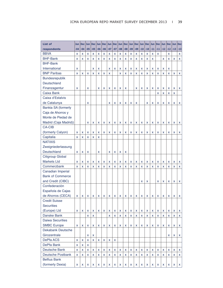| <b>List of</b>             | <b>Jun</b> | Dec   | Jun      | Dec Jun |          |       | Dec Jun Dec Jun |       |       | Dec   | Jun |       | Dec Jun |       | Dec Jun | <b>Dec</b> | Jun      | Dec Jun |       | <b>Dec</b>   |
|----------------------------|------------|-------|----------|---------|----------|-------|-----------------|-------|-------|-------|-----|-------|---------|-------|---------|------------|----------|---------|-------|--------------|
| respondents                | $-04$      | $-04$ | $-05$    | $-05$   | $-06$    | $-06$ | $-07$           | $-07$ | $-08$ | $-08$ | -09 | $-09$ | $-10$   | $-10$ | $-11$   | $-11$      | $-12$    | $-12$   | $-13$ | $-13$        |
| <b>BBVA</b>                | X          | X     | X        | X       | X        | X     | X               | x     | X     | X     | X   | X     | X       | X     | X       | X          |          | X       |       | X            |
| <b>BHF-Bank</b>            | x          | x     | X        | x       | x        | X     | X               | X     | X     | X     | X   | X     | X       | X     | X       |            | X        | X       | x     | x            |
| <b>BHF-Bank</b>            |            |       |          |         |          |       |                 |       |       |       |     |       |         |       |         |            |          |         |       |              |
| International              | x          |       |          | x       | x        |       | X               | X     | X     | x     | X   | X     | x       | X     | x       | X          | X        | X       |       |              |
| <b>BNP Paribas</b>         | x          | X     | X        | x       | x        | X     | X               |       | X     | X     | X   | X     | x       | X     | X       | X          | x        | X       | X     | <b>X</b>     |
| Bundesrepublik             |            |       |          |         |          |       |                 |       |       |       |     |       |         |       |         |            |          |         |       |              |
| Deutschland                |            |       |          |         |          |       |                 |       |       |       |     |       |         |       |         |            |          |         |       |              |
| Finanzagentur              | x          |       | x        |         | X        | X     | X               | x     | X     | X     |     | X     | x       | X     | x       | X          | X        | X       | x     | x            |
| Caixa Bank                 |            |       |          |         |          |       |                 |       |       |       |     |       |         |       |         | X          | x        | X       | X     |              |
| Caixa d'Estalvis           |            |       |          |         |          |       |                 |       |       |       |     |       |         |       |         |            |          |         |       |              |
| de Catalunya               |            |       | x        |         |          |       | X               | X     | X     | x     | X   | X     |         | X     | X       | X          | X        | x       | x     | x            |
| <b>Bankia SA (formerly</b> |            |       |          |         |          |       |                 |       |       |       |     |       |         |       |         |            |          |         |       |              |
| Caja de Ahorros y          |            |       |          |         |          |       |                 |       |       |       |     |       |         |       |         |            |          |         |       |              |
| Monte de Piedad de         |            |       |          |         |          |       |                 |       |       |       |     |       |         |       |         |            |          |         |       |              |
| Madrid (Caja Madrid))      |            |       | x        | X       | X        | x     | x               | x     | x     | x     | X   | x     | x       | x     | x       | X          | x        | x       | x     | X            |
| <b>CA-CIB</b>              |            |       |          |         |          |       |                 |       |       |       |     |       |         |       |         |            |          |         |       |              |
| (formerly Calyon)          | X          | x     | x        | x       | x        | X     | X               | x     | X     | x     | X   | X     | X       | X     | X       | X          | X        | x       | x     | X            |
| Capitalia                  | X          | X     | x        | x       | x        |       |                 |       |       |       |     |       |         |       |         |            |          |         |       |              |
| <b>NATIXIS</b>             |            |       |          |         |          |       |                 |       |       |       |     |       |         |       |         |            |          |         |       |              |
| Zweigniederlassung         |            |       |          |         |          |       |                 |       |       |       |     |       |         |       |         |            |          |         |       |              |
| Deutschland                | X          | X     | X        |         | x        |       | X               | x     | x     | X     |     |       |         |       |         |            |          |         |       |              |
| <b>Citigroup Global</b>    |            |       |          |         |          |       |                 |       |       |       |     |       |         |       |         |            |          |         |       |              |
| <b>Markets Ltd</b>         | x          | X     | x        | X       | x        | x     | X               | X     | X     | x     | X   | X     | x       | X     | X       | X          | X        | x       | x     | X            |
| Commerzbank                | X          | X     | X        | x       | x        | X     | X               | X     | X     | x     | X   | X     | x       | X     | x       | X          | X        | x       | x     | x            |
| Canadian Imperial          |            |       |          |         |          |       |                 |       |       |       |     |       |         |       |         |            |          |         |       |              |
| <b>Bank of Commerce</b>    |            |       |          |         |          |       |                 |       |       |       |     |       |         |       |         |            |          |         |       |              |
| and Credit (CIBC)          |            |       |          |         |          |       |                 |       |       |       |     |       | x       | X     |         | X          | X        | X       | X     | X            |
| Confederación              |            |       |          |         |          |       |                 |       |       |       |     |       |         |       |         |            |          |         |       |              |
| Española de Cajas          |            |       |          |         |          |       |                 |       |       |       |     |       |         |       |         |            |          |         |       |              |
| de Ahorros (CECA)          |            | X     |          |         | x        |       |                 |       |       |       |     |       |         |       |         | x          | X        |         |       |              |
| <b>Credit Suisse</b>       | x          |       | x        | x       |          | x     | x               | x     | x     | x     | x   | x     | x       | x     | x       |            |          | x       | x     | X            |
| <b>Securities</b>          |            |       |          |         |          |       |                 |       |       |       |     |       |         |       |         |            |          |         |       |              |
| (Europe) Ltd               |            |       |          |         |          |       |                 |       |       |       |     |       |         |       |         |            |          |         |       |              |
| Danske Bank                | x          | x     | x        | x       | X        | x     | x               | x     | x     | x     | x   | x     | x       | x     | x       | x          | x        | x       | x     | <b>X</b>     |
| <b>Daiwa Securities</b>    |            |       | X        | x       |          |       | x               | x     | X     | X     | X   | X     | X       | X     | X       | x          | X        | X       | x     | X.           |
|                            |            |       |          |         |          |       |                 |       |       |       |     |       |         |       |         |            |          |         |       |              |
| <b>SMBC Europe</b>         | x          | x     | x        | x       | X        | x     | x               | x     | x     | x     | x   | x     | x       | x     | X       | x          | X        | x       | x     | X            |
| Dekabank Deutsche          |            |       |          |         |          |       |                 |       |       |       |     |       |         |       |         |            |          |         |       |              |
| Girozentrale               |            |       | x        | x       |          |       |                 |       |       |       |     |       |         |       |         |            |          | X       | x     | X            |
| DePfa ACS                  | x          | x     | X        | x       | <b>X</b> | X     | x               | X     |       |       |     |       |         |       |         |            |          |         |       |              |
| DePfa Bank                 | x          | x     | x        |         |          |       |                 |       |       |       |     |       |         |       |         |            |          |         |       |              |
| Deutsche Bank              | x          | x     | X.       | x       | X        | x     | X               | x     | x     | x     | X   | X     | x       | X     | X       | x          | X        | x       | x     | X            |
| Deutsche Postbank          | x          | x     | <b>X</b> | x       | X        | X     | X               | x     | X     | X     | X   | X     | x       | X     | X       | x          | <b>X</b> | x       | x     | X.           |
| <b>Belfius Bank</b>        |            |       |          |         |          |       |                 |       |       |       |     |       |         |       |         |            |          |         |       |              |
| (formerly Dexia)           | x          | x     | X        | X       | x        | X     | X               | x     | X     | x     | X   | X     | X       | X     | X       | x          | x        | x       | x     | $\mathsf{x}$ |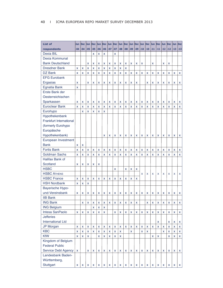| <b>List of</b>             | Jun          | <b>Dec</b> | Jun   | Dec Jun |       | Dec Jun                   |       | <b>Dec</b> | Jun            | Dec Jun |       | Dec                       | Jun   | <b>Dec</b> |       | Jun Dec Jun |                    | Dec Jun |       | <b>Dec</b>         |
|----------------------------|--------------|------------|-------|---------|-------|---------------------------|-------|------------|----------------|---------|-------|---------------------------|-------|------------|-------|-------------|--------------------|---------|-------|--------------------|
| respondents                | $-04$        | $-04$      | $-05$ | $-05$   | $-06$ | $-06$                     | $-07$ | $-07$      | -08            | $-08$   | $-09$ | $-09$                     | $-10$ | $-10$      | $-11$ | $-11$       | $-12$              | $-12$   | $-13$ | $-13$              |
| Dexia BIL                  |              |            |       | X       | x     | X                         |       | x          |                |         |       |                           |       |            |       |             |                    |         |       |                    |
| Dexia Kommunal             |              |            |       |         |       |                           |       |            |                |         |       |                           |       |            |       |             |                    |         |       |                    |
| <b>Bank Deutschland</b>    |              |            | X     | X       | X     | X                         | X     | x          | X              | x       | x     | X                         | x     |            | X     |             | x                  | X       |       |                    |
| <b>Dresdner Bank</b>       | X            | X          | X     | X       | X     | X                         | X     | x          | X              | x       |       |                           |       |            |       |             |                    |         |       |                    |
| DZ Bank                    | X            | X          | X     | X       | X     | X                         | X     | x          | X              | x       | X     | X                         | X     | X          | X     | X           | X                  | x       | X     | x                  |
| <b>EFG Eurobank</b>        |              |            |       |         |       |                           |       |            |                |         |       |                           |       |            |       |             |                    |         |       |                    |
| Ergasias                   | x            |            | x     | X       | x     | x                         | X     | x          | x              | x       | X     | x                         |       | X          | x     | x           | x                  | X       | X     | x                  |
| <b>Egnatia Bank</b>        | X            |            |       |         |       |                           |       |            |                |         |       |                           |       |            |       |             |                    |         |       |                    |
| Erste Bank der             |              |            |       |         |       |                           |       |            |                |         |       |                           |       |            |       |             |                    |         |       |                    |
| Oesterreichischen          |              |            |       |         |       |                           |       |            |                |         |       |                           |       |            |       |             |                    |         |       |                    |
| Sparkassen                 | x            | x          | X     | x       | x     | x                         | x     | x          | x              | x       | x     | x                         | x     | X          | x     | x           | X                  | x       | X     | x                  |
| <b>Euroclear Bank</b>      | X            | x          | X     | x       | X     | X                         | X     | x          | X              | X       | X     | x                         | X     | X          | x     | x           | X                  | x       | X     | x                  |
| Eurohypo                   |              | x          | X     | X       | X     | X                         |       |            |                |         |       |                           |       |            |       |             |                    |         |       |                    |
| Hypothekenbank             |              |            |       |         |       |                           |       |            |                |         |       |                           |       |            |       |             |                    |         |       |                    |
| Frankfurt International    |              |            |       |         |       |                           |       |            |                |         |       |                           |       |            |       |             |                    |         |       |                    |
| (formerly Eurohypo         |              |            |       |         |       |                           |       |            |                |         |       |                           |       |            |       |             |                    |         |       |                    |
| Europäische                |              |            |       |         |       |                           |       |            |                |         |       |                           |       |            |       |             |                    |         |       |                    |
| Hypothekenbank)            |              |            |       |         |       | X                         | x     | x          | X              | x       | X     | X                         | x     | x          | X     | x           | X                  | X       | X     | x                  |
| European Investment        |              |            |       |         |       |                           |       |            |                |         |       |                           |       |            |       |             |                    |         |       |                    |
| <b>Bank</b>                | x            | x          |       |         |       |                           |       |            |                |         |       |                           |       |            |       |             |                    |         |       |                    |
| <b>Fortis Bank</b>         | X            | x          | X     | X       | x     | X                         | X     | x          | X              | x       | x     | X                         | X     | X          | x     | X           | X                  | x       | X     | X                  |
| <b>Goldman Sachs</b>       | X            | X          | x     | x       | x     | X                         | X     | x          | x              | x       | x     | X                         | x     | X          | x     | x           | X                  | x       | X     | x                  |
| Halifax Bank of            |              |            |       |         |       |                           |       |            |                |         |       |                           |       |            |       |             |                    |         |       |                    |
| Scotland                   | x            | X          | X     | X       | x     |                           |       |            |                |         |       |                           |       |            |       |             |                    |         |       |                    |
| <b>HSBC</b>                |              |            |       |         |       |                           |       | x          |                | x       | X     | X                         |       |            |       |             |                    |         |       |                    |
| <b>HSBC ATHENS</b>         |              |            |       |         |       |                           |       |            |                |         |       |                           | X     | X          | X     | X           | X                  | X       | X     | X                  |
| <b>HSBC France</b>         | X            | x          | X     | x       | x     | X                         | X     | x          | x              | x       | x     | X                         |       |            |       |             |                    |         |       |                    |
| <b>HSH Nordbank</b>        | x            | X          | X     |         |       |                           |       |            |                |         |       |                           |       |            |       |             |                    |         |       |                    |
| Bayerische Hypo-           |              |            |       |         |       |                           |       |            |                |         |       |                           |       |            |       |             |                    |         |       |                    |
| und-Vereinsbank            | x            | X          | X     | X       | x     | X                         | x     | x          | x              | x       | x     | X                         | x     | x          | X     | X           | X                  | x       | x     | x                  |
| <b>IIB Bank</b>            |              |            |       |         |       |                           |       |            |                |         |       |                           |       |            |       |             |                    |         |       |                    |
| <b>ING Bank</b>            |              | X          | X     | x       | X     | X                         | X     | X          | $\pmb{\times}$ | X       | x     | X                         |       | X          | X     | X           | $\pmb{\mathsf{x}}$ | X       | X     | $\pmb{\mathsf{x}}$ |
| <b>ING Belgium</b>         |              |            |       | x       | X     | X                         |       |            |                |         |       |                           |       |            |       |             |                    |         |       |                    |
| Intesa SanPaolo            | X            | X          | X     | X       | x     | $\boldsymbol{\mathsf{x}}$ |       | x          | X              | x       | x     | $\boldsymbol{\mathsf{x}}$ | x     | X          | X     | X           | X                  | X       | x     | X                  |
| <b>Jefferies</b>           |              |            |       |         |       |                           |       |            |                |         |       |                           |       |            |       |             |                    |         |       |                    |
| <b>International Ltd</b>   |              |            |       |         |       |                           |       |            |                |         |       |                           |       |            |       | x           |                    | x       | x     | x                  |
| <b>JP Morgan</b>           | x            | x          | X     | X       | X     | X                         | X     | x          | x              | x       | x     | X                         | X     | X          | X     | x           | X                  | X       | X     | X                  |
| <b>KBC</b>                 | X            | x          | X     | X       | X     | $\mathsf{x}$              | X     | X          | X              |         | x     |                           | x     | X          |       |             | <b>X</b>           | X       | x     | X                  |
| <b>KfW</b>                 | X            | x          | X     |         | x     | $\mathsf{x}$              | X     | x          | X              |         |       |                           |       |            | X     | X           |                    | X       | x     | X                  |
| Kingdom of Belgium         |              |            |       |         |       |                           |       |            |                |         |       |                           |       |            |       |             |                    |         |       |                    |
| <b>Federal Public</b>      |              |            |       |         |       |                           |       |            |                |         |       |                           |       |            |       |             |                    |         |       |                    |
| <b>Service Debt Agency</b> | $\mathsf{x}$ |            | x     | x       | X     | x                         | X     | x          | X              | x       | X     | x                         | X     | x          | x     | X           | <b>X</b>           | x       | X     | X                  |
| Landesbank Baden-          |              |            |       |         |       |                           |       |            |                |         |       |                           |       |            |       |             |                    |         |       |                    |
| Württemberg,               |              |            |       |         |       |                           |       |            |                |         |       |                           |       |            |       |             |                    |         |       |                    |
| Stuttgart                  | x            | X          | X     | X       | X     | X                         | X     | X          | X              | X       | X     | X                         | x     | X          | X     | X           | X                  | X       | x     | $x \mid$           |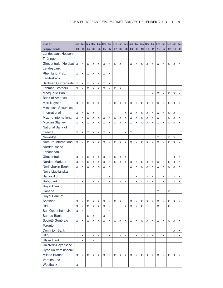| List of                      | Jun   | Dec      |          | $Jun$ $Dec$ | Jun   | Dec Jun     |              | Dec   |       |       | Jun   Dec   Jun   Dec   Jun |       |       |       | Dec Jun |       | Dec Jun      | Dec Jun     |              | <b>Dec</b>   |
|------------------------------|-------|----------|----------|-------------|-------|-------------|--------------|-------|-------|-------|-----------------------------|-------|-------|-------|---------|-------|--------------|-------------|--------------|--------------|
| respondents                  | $-04$ | $-04$    | $-05$    | $-05$       | $-06$ | $-06$       | $-07$        | $-07$ | $-08$ | $-08$ | $-09$                       | $-09$ | $-10$ | $-10$ | $-11$   | $-11$ | $-12$        | $-12$       | $-13$        | $-13$        |
| Landesbank Hessen-           |       |          |          |             |       |             |              |       |       |       |                             |       |       |       |         |       |              |             |              |              |
| Thüringen-                   |       |          |          |             |       |             |              |       |       |       |                             |       |       |       |         |       |              |             |              |              |
| Girozentrale (Helaba)        | X     | X        | X        | X           | X     | X           | X            | X     | X     |       | x                           | X     | x     | X     | x       | X     | x            | X           | X            | X            |
| Landesbank                   |       |          |          |             |       |             |              |       |       |       |                             |       |       |       |         |       |              |             |              |              |
| <b>Rheinland Pfalz</b>       | x     | X        | X        | x           | X     | x           | X            |       |       |       |                             |       |       |       |         |       |              |             |              |              |
| Landesbank                   |       |          |          |             |       |             |              |       |       |       |                             |       |       |       |         |       |              |             |              |              |
| Sachsen Girozentrale         | X     | x        | x        | x           | X     | X           | X            |       |       |       |                             |       |       |       |         |       |              |             |              |              |
| <b>Lehman Brothers</b>       | x     | x        | x        | X           | x     | x           | X            | x     | X     |       |                             |       |       |       |         |       |              |             |              |              |
| <b>Macquarie Bank</b>        |       |          |          |             |       |             |              |       |       |       |                             |       |       |       | x       | x     | x            | X           | X            | x            |
| <b>Bank of America</b>       |       |          |          |             |       |             |              |       |       |       |                             |       |       |       |         |       |              |             |              |              |
| Merrill Lynch                | x     | X        | X        | X           | X     |             | X            | X     | X     | x     | x                           | X     | X     | x     | x       | X     | x            | X           | X            | x            |
| <b>Mitsubishi Securities</b> |       |          |          |             |       |             |              |       |       |       |                             |       |       |       |         |       |              |             |              |              |
| International                | X     | X        | x        | x           |       |             |              |       |       | x     | x                           | x     | x     | x     | x       | x     | x            | X           | X            |              |
| Mizuho International         | x     | x        | x        | X           | X     | X           | X            | X     | X     | X     | x                           | x     | x     | X     | x       | X     |              | X           | X            | $\mathsf X$  |
| <b>Morgan Stanley</b>        | x     | X        | X        | X           | x     | X           | X            | X     | X     | X     | x                           | X     | x     | x     | x       | X     | X            | X           | X            | X            |
| National Bank of             |       |          |          |             |       |             |              |       |       |       |                             |       |       |       |         |       |              |             |              |              |
| Greece                       | x     | X        | x        | x           | x     | x           | X            |       |       | x     | x                           |       |       |       |         |       |              |             |              |              |
| Newedge                      |       |          |          |             |       |             |              |       |       |       |                             |       |       |       |         | X     |              | X           | X            |              |
| Nomura International         | X     | X        | X        | X           | x     | X           | X            | X     | x     | x     | x                           | x     | X     | x     | x       | X     | X            | X           | X            | X            |
| Norddeutsche                 |       |          |          |             |       |             |              |       |       |       |                             |       |       |       |         |       |              |             |              |              |
| Landesbank                   |       |          |          |             |       |             |              |       |       |       |                             |       |       |       |         |       |              |             |              |              |
| Girozentrale                 | x     | X        | X        | X           | X     | x           | X            | X     | X     | x     |                             |       |       |       |         |       |              |             | X            | X            |
| Nordea Markets               | X     | X        | X        | X           | X     | X           | $\mathbf{x}$ | X     | X     | X     | x                           | x     | X     | X     | x       | x     | $\mathbf{x}$ | X           | X            | X            |
| Norinchukin Bank             | x     | x        | x        | X           | x     | x           | X            |       |       |       | x                           | x     | X     | X     | x       | X     | X            | X           | X            | x            |
| Nova Ljubljanska             |       |          |          |             |       |             |              |       |       |       |                             |       |       |       |         |       |              |             |              |              |
| Banka d.d.                   | X     |          |          |             |       |             | X            | X     |       |       | x                           | X     |       | X     | X       | X     | X            | X           | X            | X            |
| Rabobank                     | X     | X        | x        | X           | X     | X           | X            | X     | x     | X     | x                           | X     | X     | X     | x       | X     | $\mathbf{x}$ | X           | $\mathbf{x}$ | x            |
| Royal Bank of                |       |          |          |             |       |             |              |       |       |       |                             |       |       |       |         |       |              |             |              |              |
| Canada                       |       |          |          |             |       |             |              |       |       |       |                             |       |       |       |         | X     |              | x           |              |              |
| Royal Bank of                |       |          |          |             |       |             |              |       |       |       |                             |       |       |       |         |       |              |             |              |              |
| Scotland                     | x     | X        | X        | x           | X     | X           | X            | X     | X     |       | x                           | X     | x     | X     | x       | X     | X            | X           | X            | X            |
| <b>RBI</b>                   | x     | x        | x        | x           | x     | X           | x            |       |       | x     | x                           | x     | x     |       |         | x     |              | x           |              |              |
| Sal. Oppenheim Jr.           | x     | X        |          |             |       |             | X            |       |       |       |                             |       |       |       |         |       |              |             |              |              |
| Sampo Bank                   |       |          | x        | x           |       | x           |              |       |       |       |                             |       |       |       |         |       |              |             |              |              |
| Société Générale             | x     | x        | X        | x           | X     | $\mathsf X$ | X            | X     | X     | X     | x                           | x     | X     | X     | x       | X     | x            | $\mathsf X$ | X            | $\mathsf{x}$ |
| <b>Toronto</b>               |       |          |          |             |       |             |              |       |       |       |                             |       |       |       |         |       |              |             |              |              |
| <b>Dominion Bank</b>         |       |          |          |             |       |             |              |       |       |       |                             |       |       |       |         |       |              |             | X            | X            |
| <b>UBS</b>                   | x     | X        | X        | X           | X     | X           | X            | X     | X     | X     | X.                          | X     | X     | x     | X       | X     | x            | X           | X            | X            |
| <b>Ulster Bank</b>           | x     | <b>X</b> | <b>X</b> | x           |       | <b>x</b>    |              |       |       |       |                             |       |       |       |         |       |              |             |              |              |
| Unicredit/Bayerische         |       |          |          |             |       |             |              |       |       |       |                             |       |       |       |         |       |              |             |              |              |
| Hypo-un-Vereinsbank          |       |          |          |             |       |             |              |       |       |       |                             |       |       |       |         |       |              |             |              |              |
| Milano Branch                | x     | X        | x        | x           | x     | X           | X            | X     | X     | x     | x                           | X     | x     | X     | x       | X     | x            | X           | X            | X.           |
| Vereins und                  |       |          |          |             |       |             |              |       |       |       |                             |       |       |       |         |       |              |             |              |              |
| Westbank                     | x     |          |          |             |       |             |              |       |       |       |                             |       |       |       |         |       |              |             |              |              |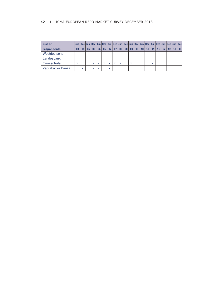### 42 I ICMA EUROPEAN REPO MARKET SURVEY DECEMBER 2013

| List of          |   |   |   |                           |   |   |   |                           |              |  |                           |  | Jun  Dec  Jun  Dec  Jun  Dec  Jun  Dec  Jun  Dec  Jun  Dec  Jun  Dec  Jun  Dec  Jun  Dec  Jun  Dec |  |
|------------------|---|---|---|---------------------------|---|---|---|---------------------------|--------------|--|---------------------------|--|----------------------------------------------------------------------------------------------------|--|
| respondents      |   |   |   |                           |   |   |   |                           |              |  |                           |  | -04 -05 -05 -05 -06 -06 -07 -07 -08 -08 -09 -09 -09 -10 -10 -11 -11 -12 -12 -13 -13                |  |
| Westdeutsche     |   |   |   |                           |   |   |   |                           |              |  |                           |  |                                                                                                    |  |
| Landesbank       |   |   |   |                           |   |   |   |                           |              |  |                           |  |                                                                                                    |  |
| Girozentrale     | x |   | X | $\checkmark$              | x | X | X | $\boldsymbol{\mathsf{x}}$ | $\checkmark$ |  | $\checkmark$<br>$\lambda$ |  |                                                                                                    |  |
| Zagrabacka Banka |   | X | X | $\boldsymbol{\mathsf{x}}$ |   | X |   |                           |              |  |                           |  |                                                                                                    |  |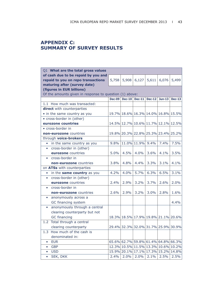# **APPENDIX C: SUMMARY OF SURVEY RESULTS**

| Q1 What are the total gross values                      |               |          |                  |                                     |          |          |
|---------------------------------------------------------|---------------|----------|------------------|-------------------------------------|----------|----------|
| of cash due to be repaid by you and                     |               |          |                  |                                     |          |          |
| repaid to you on repo transactions                      | 5,758         | 5,908    | 6,127            | 5,611                               | 6,076    | 5,499    |
| maturing after (survey date)                            |               |          |                  |                                     |          |          |
| (figures in EUR billions)                               |               |          |                  |                                     |          |          |
| Of the amounts given in response to question (1) above: |               |          |                  |                                     |          |          |
|                                                         | <b>Dec-09</b> | $Dec-10$ | <b>Dec-11</b>    | <b>Dec-12</b>                       | $Jun-13$ | $Dec-13$ |
| 1.1 How much was transacted:                            |               |          |                  |                                     |          |          |
| direct with counterparties                              |               |          |                  |                                     |          |          |
| • in the same country as you                            |               |          |                  | 19.7% 18.6% 16.3% 14.0% 16.8% 15.5% |          |          |
| • cross-border in (other)                               |               |          |                  |                                     |          |          |
| eurozone countries                                      |               |          |                  | 14.5% 12.7% 10.6% 11.7% 12.1% 12.5% |          |          |
| • cross-border in                                       |               |          |                  |                                     |          |          |
| <b>non-eurozone</b> countries                           |               |          |                  | 19.8% 20.3% 22.8% 25.3% 23.4% 25.2% |          |          |
| through voice-brokers                                   |               |          |                  |                                     |          |          |
| in the same country as you<br>$\bullet$                 | 9.8%          |          | 11.0% 11.9% 9.4% |                                     | 7.4%     | 7.5%     |
| cross-border in (other)<br>$\bullet$                    |               |          |                  |                                     |          |          |
| eurozone countries                                      | 5.0%          | 4.5%     | 4.0%             | 3.6%                                | 4.1%     | 3.5%     |
| cross-border in<br>$\bullet$                            |               |          |                  |                                     |          |          |
| non-eurozone countries                                  | 3.8%          | 4.8%     | 4.4%             | 3.3%                                | 3.1%     | 4.1%     |
| on ATSs with counterparties                             |               |          |                  |                                     |          |          |
| in the same country as you<br>$\bullet$                 | 4.2%          | 4.0%     | 5.7%             | 6.3%                                | 6.5%     | 3.1%     |
| cross-border in (other)<br>$\bullet$                    |               |          |                  |                                     |          |          |
| eurozone countries                                      | 2.4%          | 2.9%     | 3.2%             | 3.7%                                | 2.6%     | 2.0%     |
| cross-border in<br>$\bullet$                            |               |          |                  |                                     |          |          |
| non-eurozone countries                                  | 2.6%          | 2.9%     | 3.2%             | 3.0%                                | 2.8%     | 1.6%     |
| anonymously across a<br>$\bullet$                       |               |          |                  |                                     |          |          |
| GC financing system                                     |               |          |                  |                                     |          | 4.4%     |
| anonymously through a central<br>$\bullet$              |               |          |                  |                                     |          |          |
| clearing counterparty but not                           |               |          |                  |                                     |          |          |
| <b>GC</b> financing                                     |               |          |                  | 18.3% 18.5% 17.9% 19.8% 21.1% 20.6% |          |          |
| 1.2 Total through a central                             |               |          |                  |                                     |          |          |
| clearing counterparty                                   |               |          |                  | 29.4% 32.3% 32.0% 31.7% 25.9% 30.9% |          |          |
| 1.3 How much of the cash is                             |               |          |                  |                                     |          |          |
| denominated in:                                         |               |          |                  |                                     |          |          |
| <b>EUR</b><br>$\bullet$                                 |               |          |                  | 65.6% 62.7% 59.8% 61.4% 64.8% 66.3% |          |          |
| <b>GBP</b><br>$\bullet$                                 |               |          |                  | 12.3% 10.5% 11.5% 13.3% 10.6% 10.2% |          |          |
| <b>USD</b><br>$\bullet$                                 |               |          |                  | 15.9% 20.1% 17.1% 17.3% 15.2% 14.8% |          |          |
| SEK, DKK<br>0                                           | 2.4%          | 2.0%     | 2.0%             | 2.1%                                | 2.5%     | 2.5%     |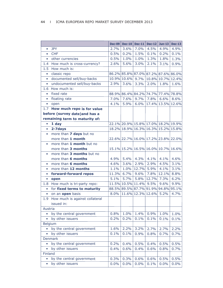|               |                                 | <b>Dec-09</b> | $Dec-10$          | <b>Dec-11</b> | <b>Dec-12</b>     | $Jun-13$                            | <b>Dec-13</b> |
|---------------|---------------------------------|---------------|-------------------|---------------|-------------------|-------------------------------------|---------------|
| $\bullet$     | <b>JPY</b>                      | 2.7%          | 3.6%              | 7.0%          | 4.5%              | 4.9%                                | 4.9%          |
| $\bullet$     | <b>CHF</b>                      | 0.5%          | 0.2%              | 1.5%          | 0.1%              | 0.2%                                | 0.1%          |
| $\bullet$     | other currencies                | 0.5%          | 1.0%              | 1.0%          | 1.3%              | 1.8%                                | 1.3%          |
| $1.4^{\circ}$ | How much is cross-currency?     | 2.6%          | 5.6%              | 3.0%          | 2.1%              | 3.1%                                | 0.9%          |
| 1.5           | How much is:                    |               |                   |               |                   |                                     |               |
| $\bullet$     | classic repo                    |               |                   |               |                   | 86.2% 85.8% 87.0% 87.2% 87.6% 86.0% |               |
| $\bullet$     | documented sell/buy-backs       |               | 10.9% 10.6% 9.7%  |               |                   | 10.8% 10.7% 12.4%                   |               |
| ٠             | undocumented sell/buy-backs     | 2.9%          | 3.6%              | 3.3%          | 2.0%              | 1.8%                                | 1.6%          |
| 1.6           | How much is:                    |               |                   |               |                   |                                     |               |
| $\bullet$     | fixed rate                      |               |                   |               |                   | 88.9% 86.4% 84.2% 74.7% 77.4% 78.8% |               |
| $\bullet$     | floating rate                   | 7.0%          | 7.6%              | 9.7%          | 7.8%              | 6.6%                                | 8.6%          |
| $\bullet$     | open                            | 4.1%          | 5.9%              | 6.0%          |                   | 17.4% 13.5% 12.6%                   |               |
|               | 1.7 How much repo is for value  |               |                   |               |                   |                                     |               |
|               | before (survey date) and has a  |               |                   |               |                   |                                     |               |
|               | remaining term to maturity of:  |               |                   |               |                   |                                     |               |
| $\bullet$     | 1 day                           |               |                   |               |                   | 22.1% 20.9% 15.8% 17.0% 18.2% 19.9% |               |
| $\bullet$     | 2-7days                         |               |                   |               |                   | 18.2% 18.9% 16.3% 16.3% 15.2% 15.8% |               |
| $\bullet$     | more than 7 days but no         |               |                   |               |                   |                                     |               |
|               | more than 1 month               |               |                   |               |                   | 22.6% 22.7% 16.0% 17.2% 23.8% 22.0% |               |
| $\bullet$     | more than 1 month but no        |               |                   |               |                   |                                     |               |
|               | more than 3 months              |               |                   |               |                   | 15.1% 15.2% 16.5% 16.0% 10.7% 16.6% |               |
| $\bullet$     | more than 3 months but no       |               |                   |               |                   |                                     |               |
|               | more than 6 months              | 4.9%          | 5.4%              | 4.3%          | 4.1%              | 4.1%                                | 4.6%          |
| $\bullet$     | more than 6 months              | 4.6%          | 3.6%              | 2.9%          | 2.9%              | 4.5%                                | 3.1%          |
| $\bullet$     | more than 12 months             | 1.1%          | 1.0%              | 12.7%         | 5.9%              | 4.1%                                | 3.1%          |
| $\bullet$     | forward-forward repos           |               | 11.3% 6.7%        | 9.6%          | 7.8%              | 12.1%                               | 8.8%          |
| $\bullet$     | open                            | 5.1%          | 5.7%              | 5.8%          |                   | 12.7% 7.3%                          | 6.2%          |
|               | 1.8 How much is tri-party repo: |               | 11.5% 10.5% 11.4% |               | 9.5%              | 9.6%                                | 9.9%          |
| $\bullet$     | for fixed terms to maturity     |               |                   |               |                   | 88.5% 89.5% 87.7% 91.9% 94.8%       | 95.1%         |
| $\bullet$     | on an open basis                | 8.0%          |                   |               | 11.6% 12.3% 12.6% | 5.2%                                | 4.7%          |
| 1.9           | How much is against collateral  |               |                   |               |                   |                                     |               |
|               | issued in:                      |               |                   |               |                   |                                     |               |
| Austria       |                                 |               |                   |               |                   |                                     |               |
| $\bullet$     | by the central government       | 0.8%          | 1.0%              | 1.4%          | 0.9%              | 1.0%                                | 1.0%          |
| ٠             | by other issuers                | 0.2%          | 0.2%              | 0.1%          | 0.1%              | 0.1%                                | 0.1%          |
|               | <b>Belgium</b>                  |               |                   |               |                   |                                     |               |
| $\bullet$     | by the central government       | 1.6%          | 2.2%              | 3.2%          | 2.7%              | 2.7%                                | 2.2%          |
| $\bullet$     | by other issuers                | 0.1%          | 0.1%              | 0.9%          | 0.8%              | 0.7%                                | 0.7%          |
|               | Denmark                         |               |                   |               |                   |                                     |               |
| $\bullet$     | by the central government       | 0.2%          | 0.4%              | 0.5%          | 0.4%              | 0.5%                                | 0.5%          |
| $\bullet$     | by other issuers                | 0.4%          | 0.6%              | 0.4%          | 0.6%              | 0.8%                                | 0.7%          |
| Finland       |                                 |               |                   |               |                   |                                     |               |
| $\bullet$     | by the central government       | 0.3%          | 0.3%              | 0.6%          | 0.6%              | 0.5%                                | 0.5%          |
| ٠             | by other issuers                | 0.0%          | 0.0%              | 0.0%          | 0.1%              | 0.0%                                | 0.0%          |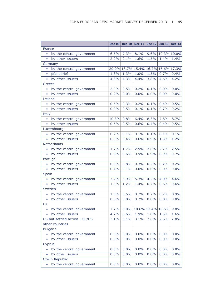|                    |                              | <b>Dec-09</b> | $Dec-10$ | $Dec-11$                            |                   | Dec-12 Jun-13 | <b>Dec-13</b> |
|--------------------|------------------------------|---------------|----------|-------------------------------------|-------------------|---------------|---------------|
| France             |                              |               |          |                                     |                   |               |               |
| $\bullet$          | by the central government    | 6.5%          | 7.3%     | 8.1%                                | 9.6%              | 10.3% 10.0%   |               |
|                    | • by other issuers           | 2.2%          | 2.1%     | 1.6%                                | 1.5%              | 1.4%          | 1.4%          |
| Germany            |                              |               |          |                                     |                   |               |               |
|                    | by the central government    |               |          | 20.9% 18.7% 15.4% 16.7% 16.6% 17.3% |                   |               |               |
| $\bullet$          | pfandbrief                   | 1.3%          | 1.3%     | 1.0%                                | 1.5%              | 0.7%          | 0.4%          |
| $\bullet$          | by other issuers             | 4.3%          | 4.3%     | 4.4%                                | 3.8%              | 4.6%          | 4.2%          |
| Greece             |                              |               |          |                                     |                   |               |               |
|                    | • by the central government  | 2.0%          | 0.5%     | 0.2%                                | 0.1%              | 0.0%          | 0.0%          |
| $\bullet$          | by other issuers             | 0.2%          | 0.0%     | 0.0%                                | 0.0%              | 0.0%          | 0.0%          |
| <b>Ireland</b>     |                              |               |          |                                     |                   |               |               |
|                    | by the central government    | 0.6%          | 0.3%     | 0.2%                                | 0.1%              | 0.4%          | 0.5%          |
|                    | • by other issuers           | 0.9%          | 0.5%     | 0.1%                                | 0.1%              | 0.7%          | 0.2%          |
| Italy              |                              |               |          |                                     |                   |               |               |
|                    | • by the central government  | 10.3%         | 9.8%     | 6.4%                                | 8.3%              | 7.8%          | 8.7%          |
| $\bullet$          | by other issuers             | 0.6%          | 0.5%     | 0.6%                                | 0.4%              | 0.4%          | 0.5%          |
| Luxembourg         |                              |               |          |                                     |                   |               |               |
|                    | by the central government    | 0.2%          | 0.1%     | 0.1%                                | 0.1%              | 0.1%          | 0.1%          |
|                    | • by other issuers           | 0.5%          | 0.4%     | 0.6%                                | 0.9%              | 1.3%          | 1.2%          |
| <b>Netherlands</b> |                              |               |          |                                     |                   |               |               |
|                    | • by the central government  | 1.7%          | 1.7%     | 2.9%                                | 2.6%              | 2.7%          | 2.5%          |
| $\bullet$          | by other issuers             | 0.6%          | 0.6%     | 0.9%                                | 0.9%              | 0.9%          | 0.7%          |
| Portugal           |                              |               |          |                                     |                   |               |               |
| $\bullet$          | by the central government    | 0.9%          | 0.8%     | 0.3%                                | 0.2%              | 0.2%          | 0.2%          |
|                    | • by other issuers           | 0.4%          | 0.1%     | 0.0%                                | 0.0%              | 0.0%          | 0.0%          |
| Spain              |                              |               |          |                                     |                   |               |               |
| $\bullet$          | by the central government    | 3.2%          | 3.9%     | 5.3%                                | 4.2%              | 4.0%          | 4.6%          |
|                    | • by other issuers           | 1.0%          | 1.2%     | 1.4%                                | 0.7%              | 0.6%          | 0.6%          |
| Sweden             |                              |               |          |                                     |                   |               |               |
| $\bullet$          | by the central government    | 1.0%          | 0.5%     | 0.7%                                | 0.7%              | 0.7%          | 0.9%          |
| $\bullet$          | by other issuers             | 0.6%          | 0.8%     | 0.7%                                | 0.8%              | 0.8%          | 0.8%          |
| <b>UK</b>          |                              |               |          |                                     |                   |               |               |
| $\bullet$          | by the central government    | 7.7%          | 8.0%     |                                     | 10.6% 12.4% 10.5% |               | 9.8%          |
| $\bullet$          | by other issuers             | 4.7%          | 3.6%     | 1.9%                                | 1.8%              | 1.5%          | 1.6%          |
|                    | US but settled across EOC/CS | 3.1%          | 3.1%     | 3.1%                                | 2.6%              | 2.6%          | 2.8%          |
|                    | other countries              |               |          |                                     |                   |               |               |
| <b>Bulgaria</b>    |                              |               |          |                                     |                   |               |               |
| $\bullet$          | by the central government    | 0.0%          | 0.0%     | 0.0%                                | 0.0%              | 0.0%          | 0.0%          |
|                    | by other issuers             | 0.0%          | 0.0%     | 0.0%                                | 0.0%              | 0.0%          | 0.0%          |
| Cyprus             |                              |               |          |                                     |                   |               |               |
| $\bullet$          | by the central government    | 0.0%          | 0.0%     | 0.0%                                | 0.0%              | 0.0%          | 0.0%          |
|                    | by other issuers             | 0.0%          | 0.0%     | 0.0%                                | 0.0%              | 0.0%          | 0.0%          |
|                    | <b>Czech Republic</b>        |               |          |                                     |                   |               |               |
| $\bullet$          | by the central government    | 0.0%          | 0.0%     | 0.0%                                | 0.0%              | 0.0%          | 0.0%          |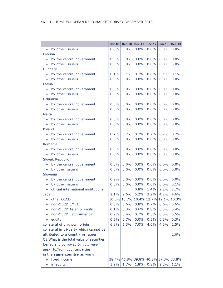|                                                  | <b>Dec-09</b> | $Dec-10$                            | $Dec-11$          | $Dec-12$ | $Jun-13$ | <b>Dec-13</b> |
|--------------------------------------------------|---------------|-------------------------------------|-------------------|----------|----------|---------------|
| • by other issuers                               | 0.0%          | $0.0\%$                             | 0.0%              | 0.0%     | 0.0%     | 0.0%          |
| Estonia                                          |               |                                     |                   |          |          |               |
| by the central government<br>$\bullet$           | 0.0%          | 0.0%                                | 0.0%              | 0.0%     | $0.0\%$  | 0.0%          |
| by other issuers<br>$\bullet$                    | 0.0%          | 0.0%                                | 0.0%              | 0.0%     | 0.0%     | 0.0%          |
| Hungary                                          |               |                                     |                   |          |          |               |
| by the central government<br>$\bullet$           | 0.1%          | 0.1%                                | 0.2%              | 0.0%     | 0.1%     | 0.1%          |
| • by other issuers                               | 0.0%          | 0.0%                                | 0.0%              | 0.0%     | 0.0%     | 0.0%          |
| Latvia                                           |               |                                     |                   |          |          |               |
| by the central government<br>$\bullet$           | 0.0%          | 0.0%                                | 0.0%              | $0.0\%$  | 0.0%     | 0.0%          |
| by other issuers<br>$\bullet$                    | 0.0%          | 0.0%                                | 0.0%              | 0.0%     | 0.0%     | 0.0%          |
| Lithuania                                        |               |                                     |                   |          |          |               |
| by the central government                        | 0.0%          | 0.0%                                | 0.0%              | 0.0%     | 0.0%     | 0.0%          |
| • by other issuers                               | 0.0%          | 0.0%                                | 0.0%              | 0.0%     | 0.0%     | 0.0%          |
| Malta                                            |               |                                     |                   |          |          |               |
| by the central government                        | 0.0%          | 0.0%                                | 0.0%              | 0.0%     | 0.0%     | 0.0%          |
| by other issuers<br>$\bullet$                    | 0.0%          | 0.0%                                | 0.0%              | 0.0%     | 0.0%     | 0.0%          |
| Poland                                           |               |                                     |                   |          |          |               |
| by the central government                        | 0.2%          | 0.2%                                | 0.2%              | 0.2%     | 0.2%     | 0.2%          |
| • by other issuers                               | 0.0%          | 0.0%                                | 0.0%              | 0.0%     | 0.0%     | 0.0%          |
| Romania                                          |               |                                     |                   |          |          |               |
| by the central government<br>$\bullet$           | 0.0%          | 0.0%                                | 0.0%              | 0.0%     | 0.0%     | 0.0%          |
| by other issuers                                 | 0.0%          | 0.0%                                | 0.0%              | 0.0%     | 0.0%     | 0.0%          |
| Slovak Republic                                  |               |                                     |                   |          |          |               |
| by the central government<br>$\bullet$           | 0.0%          | 0.0%                                | 0.0%              | 0.0%     | 0.0%     | 0.0%          |
| • by other issuers                               | 0.0%          | 0.0%                                | 0.0%              | 0.0%     | 0.0%     | 0.0%          |
| Slovenia                                         |               |                                     |                   |          |          |               |
| by the central government<br>$\bullet$           | 0.2%          | 0.0%                                | 0.0%              | 0.0%     | 0.0%     | 0.0%          |
| by other issuers<br>$\bullet$                    | 0.0%          | 0.0%                                | 0.0%              | 0.0%     | 0.0%     | 0.1%          |
| official international institutions<br>$\bullet$ |               |                                     | 0.8%              | 1.4%     | 2.2%     | 2.7%          |
| Japan                                            | 2.1%          | 2.6%                                | 5.2%              | 3.2%     | 4.2%     | 4.6%          |
| other OECD<br>$\bullet$                          |               | 10.5% 13.7% 10.4% 12.7% 12.1% 10.3% |                   |          |          |               |
| non-OECD EMEA                                    | 0.5%          | $ 0.6\%$                            | $0.8\%$ 0.7% 0.6% |          |          | 0.6%          |
| non-OECD Asian & Pacific<br>$\bullet$            | 0.1%          | 0.3%                                | 0.6%              | 0.8%     | 0.3%     | 0.4%          |
| non-OECD Latin America<br>$\bullet$              | 0.2%          | 0.4%                                | 0.7%              | 0.5%     | 0.5%     | 0.5%          |
| equity                                           | 0.5%          | 0.7%                                | 0.0%              | 0.5%     | 0.3%     | 0.3%          |
| collateral of unknown origin                     | 6.8%          | 6.3%                                | 7.0%              | 4.0%     | 4.3%     | 2.5%          |
| collateral in tri-party which cannot be          |               |                                     |                   |          |          |               |
| attributed to a country or issuer                |               |                                     |                   |          |          | 2.6%          |
| Q2 What is the total value of securities         |               |                                     |                   |          |          |               |
| loaned and borrowed by your repo                 |               |                                     |                   |          |          |               |
| desk: to/from counterparties                     |               |                                     |                   |          |          |               |
| in the same country as you in                    |               |                                     |                   |          |          |               |
| fixed income<br>$\bullet$                        |               | 38.4% 46.8% 39.8% 40.8% 37.3% 38.8% |                   |          |          |               |
| in equity<br>$\bullet$                           | 1.9%          | 1.7%                                | 1.8%              | 0.8%     | 2.8%     | 1.1%          |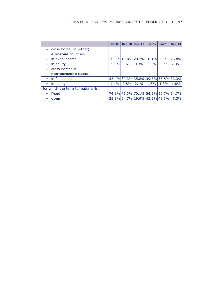|                                   | <b>Dec-09</b> |         | Dec-10   Dec-11                     | $Dec-12$ | Jun-13 $\vert$ | $Dec-13$ |
|-----------------------------------|---------------|---------|-------------------------------------|----------|----------------|----------|
| • cross-border in (other)         |               |         |                                     |          |                |          |
| eurozone countries                |               |         |                                     |          |                |          |
| • in fixed income                 |               |         | 20.9% 16.8% 20.2% 16.1% 20.9% 23.8% |          |                |          |
| $\bullet$ in equity               | 3.5%          | $3.6\%$ | 0.3%                                | $1.2\%$  | $0.9\%$        | 2.3%     |
| cross-border in<br>$\bullet$      |               |         |                                     |          |                |          |
| non-eurozone countries            |               |         |                                     |          |                |          |
| • in fixed income                 |               |         | 35.4% 30.3% 35.8% 39.5% 36.8% 32.3% |          |                |          |
| $\bullet$ in equity               | $1.4\%$       | 0.8%    | $2.1\%$                             | $1.6\%$  | $1.3\%$        | 1.8%     |
| for which the term to maturity is |               |         |                                     |          |                |          |
| fixed<br>$\bullet$                |               |         | 74.9% 75.3% 70.1% 54.5% 50.7% 54.7% |          |                |          |
| open                              |               |         | 25.1% 24.7% 29.9% 45.5% 49.3% 45.3% |          |                |          |